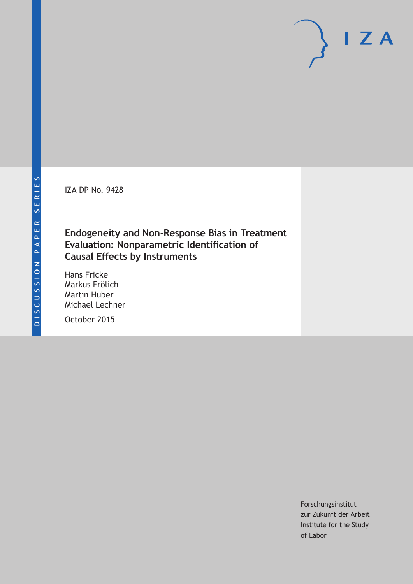IZA DP No. 9428

# **Endogeneity and Non-Response Bias in Treatment Evaluation: Nonparametric Identification of Causal Effects by Instruments**

Hans Fricke Markus Frölich Martin Huber Michael Lechner

October 2015

Forschungsinstitut zur Zukunft der Arbeit Institute for the Study of Labor

 $I Z A$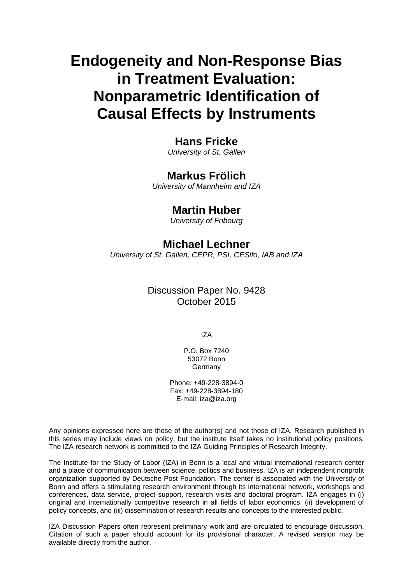# **Endogeneity and Non-Response Bias in Treatment Evaluation: Nonparametric Identification of Causal Effects by Instruments**

# **Hans Fricke**

*University of St. Gallen* 

# **Markus Frölich**

*University of Mannheim and IZA* 

# **Martin Huber**

*University of Fribourg*

# **Michael Lechner**

*University of St. Gallen, CEPR, PSI, CESifo, IAB and IZA* 

# Discussion Paper No. 9428 October 2015

IZA

P.O. Box 7240 53072 Bonn Germany

Phone: +49-228-3894-0 Fax: +49-228-3894-180 E-mail: iza@iza.org

Any opinions expressed here are those of the author(s) and not those of IZA. Research published in this series may include views on policy, but the institute itself takes no institutional policy positions. The IZA research network is committed to the IZA Guiding Principles of Research Integrity.

The Institute for the Study of Labor (IZA) in Bonn is a local and virtual international research center and a place of communication between science, politics and business. IZA is an independent nonprofit organization supported by Deutsche Post Foundation. The center is associated with the University of Bonn and offers a stimulating research environment through its international network, workshops and conferences, data service, project support, research visits and doctoral program. IZA engages in (i) original and internationally competitive research in all fields of labor economics, (ii) development of policy concepts, and (iii) dissemination of research results and concepts to the interested public.

IZA Discussion Papers often represent preliminary work and are circulated to encourage discussion. Citation of such a paper should account for its provisional character. A revised version may be available directly from the author.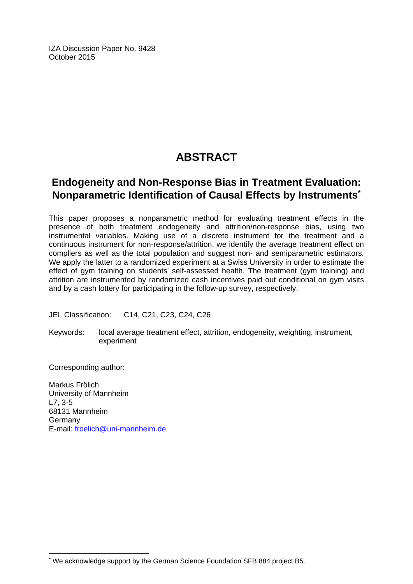IZA Discussion Paper No. 9428 October 2015

# **ABSTRACT**

# **Endogeneity and Non-Response Bias in Treatment Evaluation: Nonparametric Identification of Causal Effects by Instruments\***

This paper proposes a nonparametric method for evaluating treatment effects in the presence of both treatment endogeneity and attrition/non-response bias, using two instrumental variables. Making use of a discrete instrument for the treatment and a continuous instrument for non-response/attrition, we identify the average treatment effect on compliers as well as the total population and suggest non- and semiparametric estimators. We apply the latter to a randomized experiment at a Swiss University in order to estimate the effect of gym training on students' self-assessed health. The treatment (gym training) and attrition are instrumented by randomized cash incentives paid out conditional on gym visits and by a cash lottery for participating in the follow-up survey, respectively.

JEL Classification: C14, C21, C23, C24, C26

Keywords: local average treatment effect, attrition, endogeneity, weighting, instrument, experiment

Corresponding author:

 $\overline{\phantom{a}}$ 

Markus Frölich University of Mannheim L7, 3-5 68131 Mannheim Germany E-mail: froelich@uni-mannheim.de

<sup>\*</sup> We acknowledge support by the German Science Foundation SFB 884 project B5.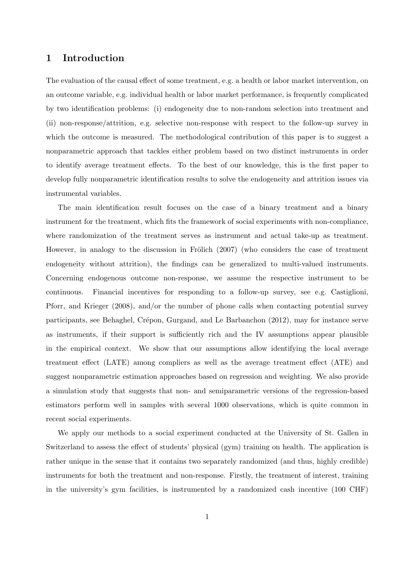### 1 Introduction

The evaluation of the causal effect of some treatment, e.g. a health or labor market intervention, on an outcome variable, e.g. individual health or labor market performance, is frequently complicated by two identification problems: (i) endogeneity due to non-random selection into treatment and (ii) non-response/attrition, e.g. selective non-response with respect to the follow-up survey in which the outcome is measured. The methodological contribution of this paper is to suggest a nonparametric approach that tackles either problem based on two distinct instruments in order to identify average treatment effects. To the best of our knowledge, this is the first paper to develop fully nonparametric identification results to solve the endogeneity and attrition issues via instrumental variables.

The main identification result focuses on the case of a binary treatment and a binary instrument for the treatment, which fits the framework of social experiments with non-compliance, where randomization of the treatment serves as instrument and actual take-up as treatment. However, in analogy to the discussion in Frölich  $(2007)$  (who considers the case of treatment endogeneity without attrition), the findings can be generalized to multi-valued instruments. Concerning endogenous outcome non-response, we assume the respective instrument to be continuous. Financial incentives for responding to a follow-up survey, see e.g. Castiglioni, Pforr, and Krieger (2008), and/or the number of phone calls when contacting potential survey participants, see Behaghel, Crépon, Gurgand, and Le Barbanchon (2012), may for instance serve as instruments, if their support is sufficiently rich and the IV assumptions appear plausible in the empirical context. We show that our assumptions allow identifying the local average treatment effect (LATE) among compliers as well as the average treatment effect (ATE) and suggest nonparametric estimation approaches based on regression and weighting. We also provide a simulation study that suggests that non- and semiparametric versions of the regression-based estimators perform well in samples with several 1000 observations, which is quite common in recent social experiments.

We apply our methods to a social experiment conducted at the University of St. Gallen in Switzerland to assess the effect of students' physical (gym) training on health. The application is rather unique in the sense that it contains two separately randomized (and thus, highly credible) instruments for both the treatment and non-response. Firstly, the treatment of interest, training in the university's gym facilities, is instrumented by a randomized cash incentive (100 CHF)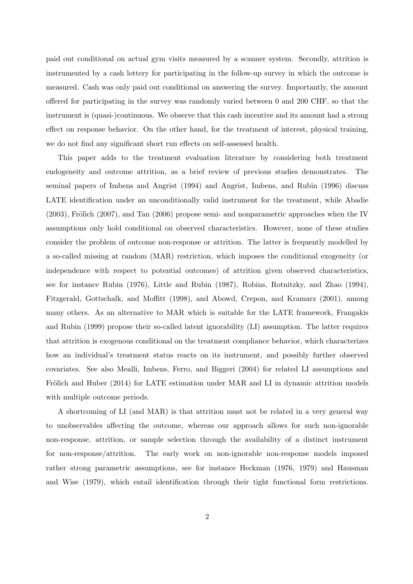paid out conditional on actual gym visits measured by a scanner system. Secondly, attrition is instrumented by a cash lottery for participating in the follow-up survey in which the outcome is measured. Cash was only paid out conditional on answering the survey. Importantly, the amount offered for participating in the survey was randomly varied between 0 and 200 CHF, so that the instrument is (quasi-)continuous. We observe that this cash incentive and its amount had a strong effect on response behavior. On the other hand, for the treatment of interest, physical training, we do not find any significant short run effects on self-assessed health.

This paper adds to the treatment evaluation literature by considering both treatment endogeneity and outcome attrition, as a brief review of previous studies demonstrates. The seminal papers of Imbens and Angrist (1994) and Angrist, Imbens, and Rubin (1996) discuss LATE identification under an unconditionally valid instrument for the treatment, while Abadie  $(2003)$ , Frölich  $(2007)$ , and Tan  $(2006)$  propose semi- and nonparametric approaches when the IV assumptions only hold conditional on observed characteristics. However, none of these studies consider the problem of outcome non-response or attrition. The latter is frequently modelled by a so-called missing at random (MAR) restriction, which imposes the conditional exogeneity (or independence with respect to potential outcomes) of attrition given observed characteristics, see for instance Rubin (1976), Little and Rubin (1987), Robins, Rotnitzky, and Zhao (1994), Fitzgerald, Gottschalk, and Moffitt (1998), and Abowd, Crepon, and Kramarz (2001), among many others. As an alternative to MAR which is suitable for the LATE framework, Frangakis and Rubin (1999) propose their so-called latent ignorability (LI) assumption. The latter requires that attrition is exogenous conditional on the treatment compliance behavior, which characterizes how an individual's treatment status reacts on its instrument, and possibly further observed covariates. See also Mealli, Imbens, Ferro, and Biggeri (2004) for related LI assumptions and Frölich and Huber (2014) for LATE estimation under MAR and LI in dynamic attrition models with multiple outcome periods.

A shortcoming of LI (and MAR) is that attrition must not be related in a very general way to unobservables affecting the outcome, whereas our approach allows for such non-ignorable non-response, attrition, or sample selection through the availability of a distinct instrument for non-response/attrition. The early work on non-ignorable non-response models imposed rather strong parametric assumptions, see for instance Heckman (1976, 1979) and Hausman and Wise (1979), which entail identification through their tight functional form restrictions.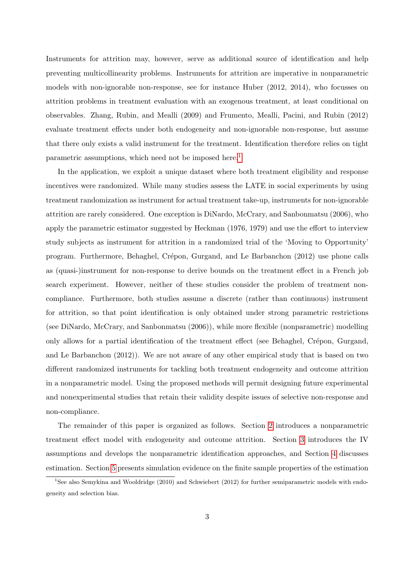Instruments for attrition may, however, serve as additional source of identification and help preventing multicollinearity problems. Instruments for attrition are imperative in nonparametric models with non-ignorable non-response, see for instance Huber (2012, 2014), who focusses on attrition problems in treatment evaluation with an exogenous treatment, at least conditional on observables. Zhang, Rubin, and Mealli (2009) and Frumento, Mealli, Pacini, and Rubin (2012) evaluate treatment effects under both endogeneity and non-ignorable non-response, but assume that there only exists a valid instrument for the treatment. Identification therefore relies on tight parametric assumptions, which need not be imposed here.<sup>[1](#page-5-0)</sup>

In the application, we exploit a unique dataset where both treatment eligibility and response incentives were randomized. While many studies assess the LATE in social experiments by using treatment randomization as instrument for actual treatment take-up, instruments for non-ignorable attrition are rarely considered. One exception is DiNardo, McCrary, and Sanbonmatsu (2006), who apply the parametric estimator suggested by Heckman (1976, 1979) and use the effort to interview study subjects as instrument for attrition in a randomized trial of the 'Moving to Opportunity' program. Furthermore, Behaghel, Crépon, Gurgand, and Le Barbanchon (2012) use phone calls as (quasi-)instrument for non-response to derive bounds on the treatment effect in a French job search experiment. However, neither of these studies consider the problem of treatment noncompliance. Furthermore, both studies assume a discrete (rather than continuous) instrument for attrition, so that point identification is only obtained under strong parametric restrictions (see DiNardo, McCrary, and Sanbonmatsu (2006)), while more flexible (nonparametric) modelling only allows for a partial identification of the treatment effect (see Behaghel, Crépon, Gurgand, and Le Barbanchon (2012)). We are not aware of any other empirical study that is based on two different randomized instruments for tackling both treatment endogeneity and outcome attrition in a nonparametric model. Using the proposed methods will permit designing future experimental and nonexperimental studies that retain their validity despite issues of selective non-response and non-compliance.

The remainder of this paper is organized as follows. Section [2](#page-6-0) introduces a nonparametric treatment effect model with endogeneity and outcome attrition. Section [3](#page-8-0) introduces the IV assumptions and develops the nonparametric identification approaches, and Section [4](#page-16-0) discusses estimation. Section [5](#page-19-0) presents simulation evidence on the finite sample properties of the estimation

<span id="page-5-0"></span><sup>&</sup>lt;sup>1</sup>See also Semykina and Wooldridge (2010) and Schwiebert (2012) for further semiparametric models with endogeneity and selection bias.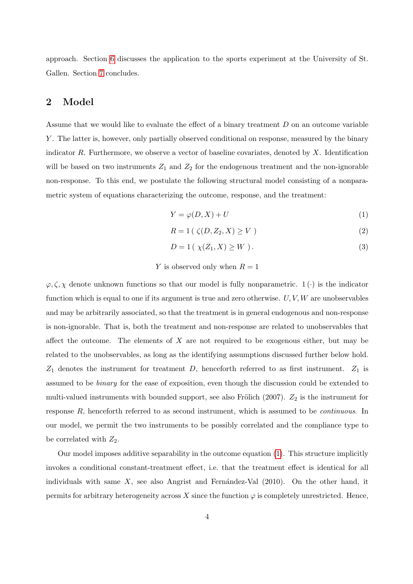approach. Section [6](#page-21-0) discusses the application to the sports experiment at the University of St. Gallen. Section [7](#page-26-0) concludes.

# <span id="page-6-0"></span>2 Model

Assume that we would like to evaluate the effect of a binary treatment D on an outcome variable Y. The latter is, however, only partially observed conditional on response, measured by the binary indicator  $R$ . Furthermore, we observe a vector of baseline covariates, denoted by  $X$ . Identification will be based on two instruments  $Z_1$  and  $Z_2$  for the endogenous treatment and the non-ignorable non-response. To this end, we postulate the following structural model consisting of a nonparametric system of equations characterizing the outcome, response, and the treatment:

<span id="page-6-1"></span>
$$
Y = \varphi(D, X) + U \tag{1}
$$

$$
R = 1\left(\zeta(D, Z_2, X) \ge V\right) \tag{2}
$$

$$
D = 1\left(\chi(Z_1, X) \ge W\right). \tag{3}
$$

#### Y is observed only when  $R = 1$

 $\varphi, \zeta, \chi$  denote unknown functions so that our model is fully nonparametric.  $1(\cdot)$  is the indicator function which is equal to one if its argument is true and zero otherwise.  $U, V, W$  are unobservables and may be arbitrarily associated, so that the treatment is in general endogenous and non-response is non-ignorable. That is, both the treatment and non-response are related to unobservables that affect the outcome. The elements of  $X$  are not required to be exogenous either, but may be related to the unobservables, as long as the identifying assumptions discussed further below hold.  $Z_1$  denotes the instrument for treatment D, henceforth referred to as first instrument.  $Z_1$  is assumed to be binary for the ease of exposition, even though the discussion could be extended to multi-valued instruments with bounded support, see also Frölich  $(2007)$ .  $Z_2$  is the instrument for response R, henceforth referred to as second instrument, which is assumed to be continuous. In our model, we permit the two instruments to be possibly correlated and the compliance type to be correlated with  $Z_2$ .

Our model imposes additive separability in the outcome equation [\(1\)](#page-6-1). This structure implicitly invokes a conditional constant-treatment effect, i.e. that the treatment effect is identical for all individuals with same  $X$ , see also Angrist and Fernández-Val (2010). On the other hand, it permits for arbitrary heterogeneity across X since the function  $\varphi$  is completely unrestricted. Hence,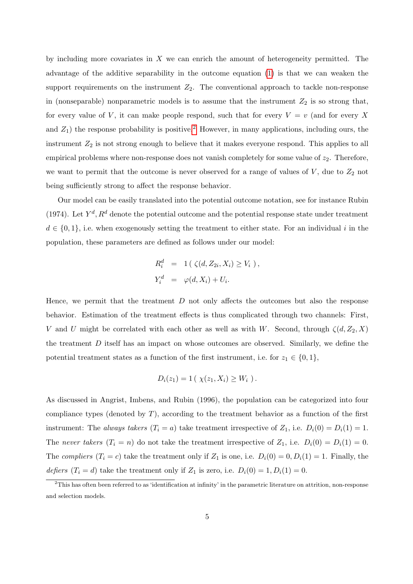by including more covariates in  $X$  we can enrich the amount of heterogeneity permitted. The advantage of the additive separability in the outcome equation [\(1\)](#page-6-1) is that we can weaken the support requirements on the instrument  $Z_2$ . The conventional approach to tackle non-response in (nonseparable) nonparametric models is to assume that the instrument  $Z_2$  is so strong that, for every value of V, it can make people respond, such that for every  $V = v$  (and for every X and  $Z_1$ ) the response probability is positive.<sup>[2](#page-7-0)</sup> However, in many applications, including ours, the instrument  $Z_2$  is not strong enough to believe that it makes everyone respond. This applies to all empirical problems where non-response does not vanish completely for some value of  $z_2$ . Therefore, we want to permit that the outcome is never observed for a range of values of  $V$ , due to  $Z_2$  not being sufficiently strong to affect the response behavior.

Our model can be easily translated into the potential outcome notation, see for instance Rubin (1974). Let  $Y^d$ ,  $R^d$  denote the potential outcome and the potential response state under treatment  $d \in \{0,1\}$ , i.e. when exogenously setting the treatment to either state. For an individual i in the population, these parameters are defined as follows under our model:

$$
R_i^d = 1(\zeta(d, Z_{2i}, X_i) \ge V_i),
$$
  
\n
$$
Y_i^d = \varphi(d, X_i) + U_i.
$$

Hence, we permit that the treatment  $D$  not only affects the outcomes but also the response behavior. Estimation of the treatment effects is thus complicated through two channels: First, V and U might be correlated with each other as well as with W. Second, through  $\zeta(d, Z_2, X)$ the treatment  $D$  itself has an impact on whose outcomes are observed. Similarly, we define the potential treatment states as a function of the first instrument, i.e. for  $z_1 \in \{0, 1\}$ ,

$$
D_i(z_1) = 1 \, (\ \chi(z_1, X_i) \geq W_i \ \text{)}.
$$

As discussed in Angrist, Imbens, and Rubin (1996), the population can be categorized into four compliance types (denoted by  $T$ ), according to the treatment behavior as a function of the first instrument: The always takers  $(T_i = a)$  take treatment irrespective of  $Z_1$ , i.e.  $D_i(0) = D_i(1) = 1$ . The never takers  $(T_i = n)$  do not take the treatment irrespective of  $Z_1$ , i.e.  $D_i(0) = D_i(1) = 0$ . The compliers  $(T_i = c)$  take the treatment only if  $Z_1$  is one, i.e.  $D_i(0) = 0, D_i(1) = 1$ . Finally, the defiers  $(T_i = d)$  take the treatment only if  $Z_1$  is zero, i.e.  $D_i(0) = 1, D_i(1) = 0$ .

<span id="page-7-0"></span> $2$ This has often been referred to as 'identification at infinity' in the parametric literature on attrition, non-response and selection models.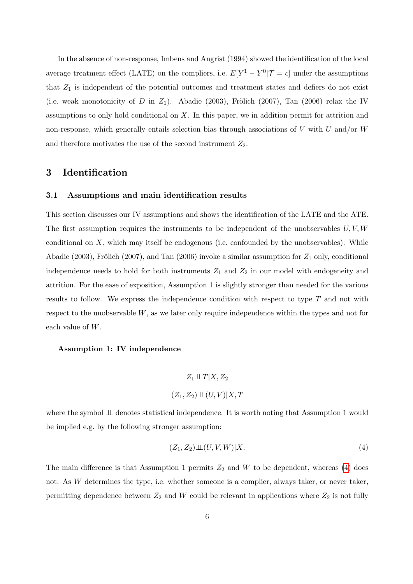In the absence of non-response, Imbens and Angrist (1994) showed the identification of the local average treatment effect (LATE) on the compliers, i.e.  $E[Y^1 - Y^0 | \mathcal{T} = c]$  under the assumptions that  $Z_1$  is independent of the potential outcomes and treatment states and defiers do not exist (i.e. weak monotonicity of D in  $Z_1$ ). Abadie (2003), Frölich (2007), Tan (2006) relax the IV assumptions to only hold conditional on  $X$ . In this paper, we in addition permit for attrition and non-response, which generally entails selection bias through associations of  $V$  with  $U$  and/or  $W$ and therefore motivates the use of the second instrument  $Z_2$ .

# <span id="page-8-0"></span>3 Identification

### 3.1 Assumptions and main identification results

This section discusses our IV assumptions and shows the identification of the LATE and the ATE. The first assumption requires the instruments to be independent of the unobservables  $U, V, W$ conditional on  $X$ , which may itself be endogenous (i.e. confounded by the unobservables). While Abadie (2003), Frölich (2007), and Tan (2006) invoke a similar assumption for  $Z_1$  only, conditional independence needs to hold for both instruments  $Z_1$  and  $Z_2$  in our model with endogeneity and attrition. For the ease of exposition, Assumption 1 is slightly stronger than needed for the various results to follow. We express the independence condition with respect to type  $T$  and not with respect to the unobservable  $W$ , as we later only require independence within the types and not for each value of W.

#### Assumption 1: IV independence

$$
Z_1 \perp \!\!\! \perp T | X, Z_2
$$

$$
(Z_1, Z_2) \perp \!\!\! \perp (U, V) | X, T
$$

where the symbol ⊥⊥ denotes statistical independence. It is worth noting that Assumption 1 would be implied e.g. by the following stronger assumption:

<span id="page-8-1"></span>
$$
(Z_1, Z_2) \perp (U, V, W)|X.
$$
\n<sup>(4)</sup>

The main difference is that Assumption 1 permits  $Z_2$  and W to be dependent, whereas [\(4\)](#page-8-1) does not. As  $W$  determines the type, i.e. whether someone is a complier, always taker, or never taker, permitting dependence between  $Z_2$  and W could be relevant in applications where  $Z_2$  is not fully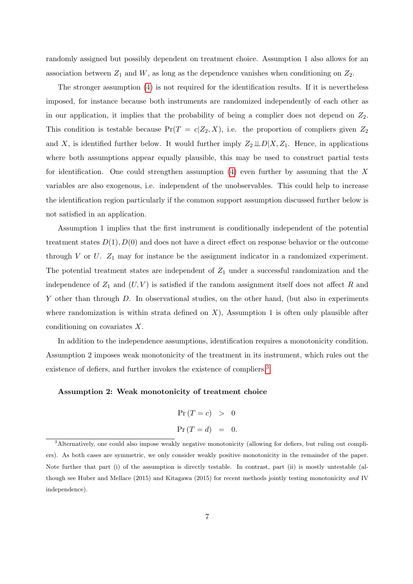randomly assigned but possibly dependent on treatment choice. Assumption 1 also allows for an association between  $Z_1$  and  $W$ , as long as the dependence vanishes when conditioning on  $Z_2$ .

The stronger assumption [\(4\)](#page-8-1) is not required for the identification results. If it is nevertheless imposed, for instance because both instruments are randomized independently of each other as in our application, it implies that the probability of being a complier does not depend on  $Z_2$ . This condition is testable because  $Pr(T = c | Z_2, X)$ , i.e. the proportion of compliers given  $Z_2$ and X, is identified further below. It would further imply  $Z_2 \perp\!\!\!\perp D|X, Z_1$ . Hence, in applications where both assumptions appear equally plausible, this may be used to construct partial tests for identification. One could strengthen assumption  $(4)$  even further by assuming that the X variables are also exogenous, i.e. independent of the unobservables. This could help to increase the identification region particularly if the common support assumption discussed further below is not satisfied in an application.

Assumption 1 implies that the first instrument is conditionally independent of the potential treatment states  $D(1), D(0)$  and does not have a direct effect on response behavior or the outcome through  $V$  or  $U$ .  $Z_1$  may for instance be the assignment indicator in a randomized experiment. The potential treatment states are independent of  $Z_1$  under a successful randomization and the independence of  $Z_1$  and  $(U, V)$  is satisfied if the random assignment itself does not affect R and Y other than through D. In observational studies, on the other hand, (but also in experiments where randomization is within strata defined on  $X$ ), Assumption 1 is often only plausible after conditioning on covariates X.

In addition to the independence assumptions, identification requires a monotonicity condition. Assumption 2 imposes weak monotonicity of the treatment in its instrument, which rules out the existence of defiers, and further invokes the existence of compliers.<sup>[3](#page-9-0)</sup>

#### Assumption 2: Weak monotonicity of treatment choice

$$
Pr(T = c) > 0
$$
  

$$
Pr(T = d) = 0.
$$

<span id="page-9-0"></span><sup>3</sup>Alternatively, one could also impose weakly negative monotonicity (allowing for defiers, but ruling out compliers). As both cases are symmetric, we only consider weakly positive monotonicity in the remainder of the paper. Note further that part (i) of the assumption is directly testable. In contrast, part (ii) is mostly untestable (although see Huber and Mellace (2015) and Kitagawa (2015) for recent methods jointly testing monotonicity and IV independence).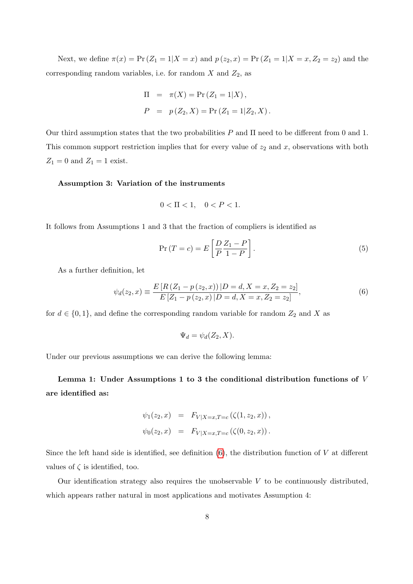Next, we define  $\pi(x) = \Pr(Z_1 = 1 | X = x)$  and  $p(z_2, x) = \Pr(Z_1 = 1 | X = x, Z_2 = z_2)$  and the corresponding random variables, i.e. for random  $X$  and  $Z_2$ , as

$$
\Pi = \pi(X) = \Pr(Z_1 = 1|X),
$$
  
\n
$$
P = p(Z_2, X) = \Pr(Z_1 = 1|Z_2, X).
$$

Our third assumption states that the two probabilities  $P$  and  $\Pi$  need to be different from 0 and 1. This common support restriction implies that for every value of  $z_2$  and x, observations with both  $Z_1 = 0$  and  $Z_1 = 1$  exist.

#### Assumption 3: Variation of the instruments

<span id="page-10-1"></span>
$$
0 < \Pi < 1, \quad 0 < P < 1.
$$

It follows from Assumptions 1 and 3 that the fraction of compliers is identified as

<span id="page-10-0"></span>
$$
\Pr(T = c) = E\left[\frac{D}{P}\frac{Z_1 - P}{1 - P}\right].\tag{5}
$$

As a further definition, let

$$
\psi_d(z_2, x) \equiv \frac{E\left[R\left(Z_1 - p\left(z_2, x\right)\right)|D = d, X = x, Z_2 = z_2\right]}{E\left[Z_1 - p\left(z_2, x\right)|D = d, X = x, Z_2 = z_2\right]},\tag{6}
$$

for  $d \in \{0,1\}$ , and define the corresponding random variable for random  $Z_2$  and X as

$$
\Psi_d = \psi_d(Z_2, X).
$$

Under our previous assumptions we can derive the following lemma:

Lemma 1: Under Assumptions 1 to 3 the conditional distribution functions of V are identified as:

$$
\psi_1(z_2, x) = F_{V|X=x, T=c}(\zeta(1, z_2, x)),
$$
  

$$
\psi_0(z_2, x) = F_{V|X=x, T=c}(\zeta(0, z_2, x)).
$$

Since the left hand side is identified, see definition  $(6)$ , the distribution function of V at different values of  $\zeta$  is identified, too.

Our identification strategy also requires the unobservable  $V$  to be continuously distributed, which appears rather natural in most applications and motivates Assumption 4: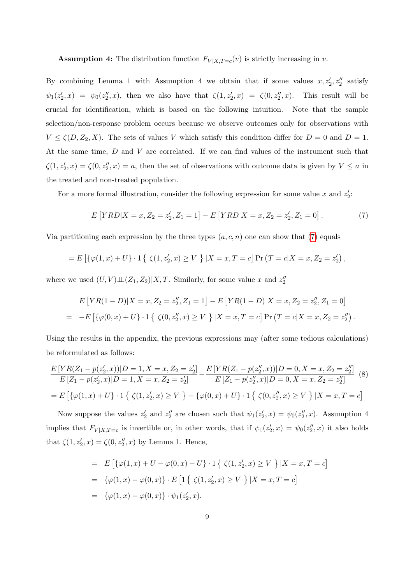**Assumption 4:** The distribution function  $F_{V|X,T=c}(v)$  is strictly increasing in v.

By combining Lemma 1 with Assumption 4 we obtain that if some values  $x, z'_2, z''_2$  satisfy  $\psi_1(z_2',x) = \psi_0(z_2'',x)$ , then we also have that  $\zeta(1,z_2',x) = \zeta(0,z_2'',x)$ . This result will be crucial for identification, which is based on the following intuition. Note that the sample selection/non-response problem occurs because we observe outcomes only for observations with  $V \le \zeta(D, Z_2, X)$ . The sets of values V which satisfy this condition differ for  $D = 0$  and  $D = 1$ . At the same time, D and V are correlated. If we can find values of the instrument such that  $\zeta(1, z_2', x) = \zeta(0, z_2'', x) = a$ , then the set of observations with outcome data is given by  $V \le a$  in the treated and non-treated population.

For a more formal illustration, consider the following expression for some value x and  $z_2$ .

<span id="page-11-0"></span>
$$
E[YRD|X=x, Z_2=z'_2, Z_1=1] - E[YRD|X=x, Z_2=z'_2, Z_1=0].
$$
\n(7)

Via partitioning each expression by the three types  $(a, c, n)$  one can show that [\(7\)](#page-11-0) equals

$$
= E \left[ \{ \varphi(1, x) + U \} \cdot 1 \{ \zeta(1, z_2', x) \ge V \} | X = x, T = c \right] \Pr(T = c | X = x, Z_2 = z_2'),
$$

where we used  $(U, V) \perp \!\!\! \perp (Z_1, Z_2) | X, T$ . Similarly, for some value x and  $z_2''$ 

$$
E\left[YR(1-D)|X=x,Z_2=z_2'',Z_1=1\right]-E\left[YR(1-D)|X=x,Z_2=z_2'',Z_1=0\right]
$$
  
= 
$$
-E\left[\{\varphi(0,x)+U\}\cdot 1\{\zeta(0,z_2'',x)\geq V\}\,|X=x,T=c\right]\Pr\left(T=c|X=x,Z_2=z_2''\right).
$$

Using the results in the appendix, the previous expressions may (after some tedious calculations) be reformulated as follows:

$$
\frac{E\left[YR(Z_1 - p(z_2', x))|D = 1, X = x, Z_2 = z_2'\right]}{E\left[Z_1 - p(z_2', x)|D = 1, X = x, Z_2 = z_2'\right]} - \frac{E\left[YR(Z_1 - p(z_2'', x))|D = 0, X = x, Z_2 = z_2''\right]}{E\left[Z_1 - p(z_2'', x)|D = 0, X = x, Z_2 = z_2''\right]} \tag{8}
$$
\n
$$
= E\left[\{\varphi(1, x) + U\} \cdot 1\left\{\zeta(1, z_2', x) \ge V\right\} - \{\varphi(0, x) + U\} \cdot 1\left\{\zeta(0, z_2'', x) \ge V\right\} | X = x, T = c\right]
$$

Now suppose the values  $z_2'$  and  $z_2''$  are chosen such that  $\psi_1(z_2', x) = \psi_0(z_2'', x)$ . Assumption 4 implies that  $F_{V|X,T=c}$  is invertible or, in other words, that if  $\psi_1(z_2', x) = \psi_0(z_2'', x)$  it also holds that  $\zeta(1, z'_2, x) = \zeta(0, z''_2, x)$  by Lemma 1. Hence,

<span id="page-11-1"></span>= 
$$
E\left[\{\varphi(1,x) + U - \varphi(0,x) - U\} \cdot 1 \{ \zeta(1, z'_2, x) \ge V \} | X = x, T = c \right]
$$
  
\n=  $\{\varphi(1,x) - \varphi(0,x)\} \cdot E\left[1 \{ \zeta(1, z'_2, x) \ge V \} | X = x, T = c \right]$   
\n=  $\{\varphi(1,x) - \varphi(0,x)\} \cdot \psi_1(z'_2, x).$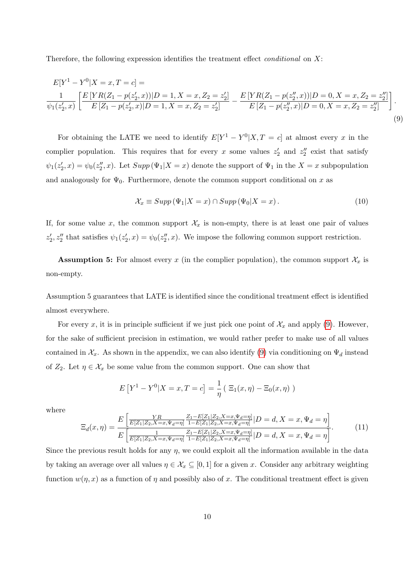Therefore, the following expression identifies the treatment effect *conditional* on  $X$ :

$$
E[Y^1 - Y^0 | X = x, T = c] =
$$
  
\n
$$
\frac{1}{\psi_1(z'_2, x)} \left[ \frac{E [YR(Z_1 - p(z'_2, x)) | D = 1, X = x, Z_2 = z'_2]}{E [Z_1 - p(z'_2, x)] | D = 0, X = x, Z_2 = z''_2]} \right].
$$
  
\n
$$
E[Z_1 - p(z'_2, x)] | D = 1, X = x, Z_2 = z'_2] - E[Z_1 - p(z''_2, x)] | D = 0, X = x, Z_2 = z''_2] - E[Z_1 - p(z''_2, x)] | D = 0, X = x, Z_2 = z''_2] \tag{9}
$$

For obtaining the LATE we need to identify  $E[Y^1 - Y^0 | X, T = c]$  at almost every x in the complier population. This requires that for every x some values  $z'_2$  and  $z''_2$  exist that satisfy  $\psi_1(z'_2, x) = \psi_0(z''_2, x)$ . Let  $Supp(\Psi_1 | X = x)$  denote the support of  $\Psi_1$  in the  $X = x$  subpopulation and analogously for  $\Psi_0$ . Furthermore, denote the common support conditional on x as

$$
\mathcal{X}_x \equiv \operatorname{Supp} \left( \Psi_1 | X = x \right) \cap \operatorname{Supp} \left( \Psi_0 | X = x \right). \tag{10}
$$

If, for some value x, the common support  $\mathcal{X}_x$  is non-empty, there is at least one pair of values  $z_2', z_2''$  that satisfies  $\psi_1(z_2', x) = \psi_0(z_2'', x)$ . We impose the following common support restriction.

**Assumption 5:** For almost every x (in the complier population), the common support  $\mathcal{X}_x$  is non-empty.

Assumption 5 guarantees that LATE is identified since the conditional treatment effect is identified almost everywhere.

For every x, it is in principle sufficient if we just pick one point of  $\mathcal{X}_x$  and apply [\(9\)](#page-11-1). However, for the sake of sufficient precision in estimation, we would rather prefer to make use of all values contained in  $\mathcal{X}_x$ . As shown in the appendix, we can also identify [\(9\)](#page-11-1) via conditioning on  $\Psi_d$  instead of  $Z_2$ . Let  $\eta \in \mathcal{X}_x$  be some value from the common support. One can show that

$$
E[Y^{1} - Y^{0}|X = x, T = c] = \frac{1}{\eta} (\Xi_{1}(x, \eta) - \Xi_{0}(x, \eta))
$$

where

$$
\Xi_d(x,\eta) = \frac{E\left[\frac{YR}{E[Z_1|Z_2,X=x,\Psi_d=\eta]} \frac{Z_1 - E[Z_1|Z_2,X=x,\Psi_d=\eta]}{1 - E[Z_1|Z_2,X=x,\Psi_d=\eta]} |D = d, X = x, \Psi_d = \eta\right]}{E\left[\frac{1}{E[Z_1|Z_2,X=x,\Psi_d=\eta]} \frac{Z_1 - E[Z_1|Z_2,X=x,\Psi_d=\eta]}{1 - E[Z_1|Z_2,X=x,\Psi_d=\eta]} |D = d, X = x, \Psi_d = \eta\right]}.
$$
\n(11)

Since the previous result holds for any  $\eta$ , we could exploit all the information available in the data by taking an average over all values  $\eta \in \mathcal{X}_x \subseteq [0,1]$  for a given x. Consider any arbitrary weighting function  $w(\eta, x)$  as a function of  $\eta$  and possibly also of x. The conditional treatment effect is given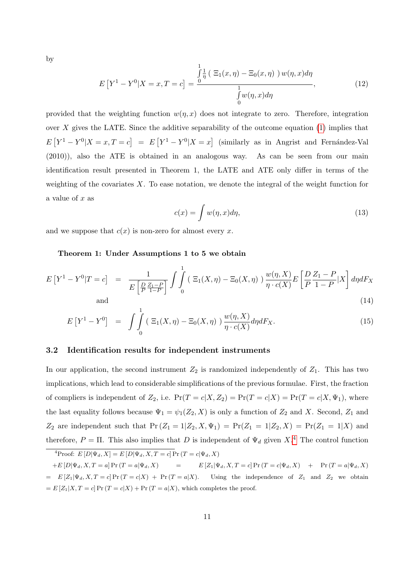by

$$
E[Y^1 - Y^0|X = x, T = c] = \frac{\int_0^1 \frac{1}{\eta} \left( \Xi_1(x, \eta) - \Xi_0(x, \eta) \right) w(\eta, x) d\eta}{\int_0^1 w(\eta, x) d\eta},
$$
(12)

provided that the weighting function  $w(\eta, x)$  does not integrate to zero. Therefore, integration over X gives the LATE. Since the additive separability of the outcome equation  $(1)$  implies that  $E[Y^1 - Y^0 | X = x, T = c] = E[Y^1 - Y^0 | X = x]$  (similarly as in Angrist and Fernández-Val (2010)), also the ATE is obtained in an analogous way. As can be seen from our main identification result presented in Theorem 1, the LATE and ATE only differ in terms of the weighting of the covariates  $X$ . To ease notation, we denote the integral of the weight function for a value of x as

$$
c(x) = \int w(\eta, x) d\eta,
$$
\n(13)

<span id="page-13-1"></span>and we suppose that  $c(x)$  is non-zero for almost every x.

#### Theorem 1: Under Assumptions 1 to 5 we obtain

$$
E\left[Y^{1}-Y^{0}|T=c\right] = \frac{1}{E\left[\frac{D}{P}\frac{Z_{1}-P}{1-P}\right]} \int_{0}^{1} \left(\Xi_{1}(X,\eta)-\Xi_{0}(X,\eta)\right) \frac{w(\eta,X)}{\eta \cdot c(X)} E\left[\frac{D}{P}\frac{Z_{1}-P}{1-P}|X\right] d\eta dF_{X}
$$
\nand\n
$$
(14)
$$

$$
E[Y^{1} - Y^{0}] = \int_{0}^{1} \left( \Xi_{1}(X,\eta) - \Xi_{0}(X,\eta) \right) \frac{w(\eta,X)}{\eta \cdot c(X)} d\eta dF_{X}.
$$
 (15)

#### 3.2 Identification results for independent instruments

In our application, the second instrument  $Z_2$  is randomized independently of  $Z_1$ . This has two implications, which lead to considerable simplifications of the previous formulae. First, the fraction of compliers is independent of  $Z_2$ , i.e.  $Pr(T = c | X, Z_2) = Pr(T = c | X) = Pr(T = c | X, \Psi_1)$ , where the last equality follows because  $\Psi_1 = \psi_1(Z_2, X)$  is only a function of  $Z_2$  and X. Second,  $Z_1$  and  $Z_2$  are independent such that  $Pr(Z_1 = 1 | Z_2, X, \Psi_1) = Pr(Z_1 = 1 | Z_2, X) = Pr(Z_1 = 1 | X)$  and therefore,  $P = \Pi$ . This also implies that D is independent of  $\Psi_d$  given  $X$ <sup>[4](#page-13-0)</sup>. The control function

<span id="page-13-0"></span><sup>&</sup>lt;sup>4</sup>Proof:  $E[D|\Psi_d, X] = E[D|\Psi_d, X, T = c]$  Pr  $(T = c|\Psi_d, X)$  $+E[D|\Psi_d, X, T = a] Pr(T = a|\Psi_d, X)$  =  $E[Z_1|\Psi_d, X, T = c] Pr(T = c|\Psi_d, X)$  +  $Pr(T = a|\Psi_d, X)$  $= E[Z_1|\Psi_d, X, T = c] Pr(T = c|X) + Pr(T = a|X).$  Using the independence of  $Z_1$  and  $Z_2$  we obtain  $= E[Z_1|X, T = c] Pr (T = c|X) + Pr (T = a|X)$ , which completes the proof.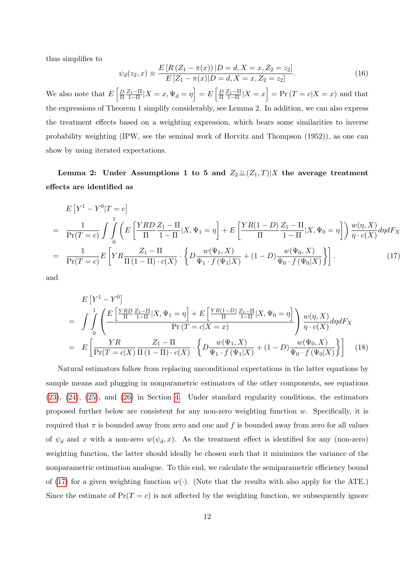thus simplifies to

<span id="page-14-1"></span>
$$
\psi_d(z_2, x) \equiv \frac{E\left[R\left(Z_1 - \pi(x)\right)|D = d, X = x, Z_2 = z_2\right]}{E\left[Z_1 - \pi(x)|D = d, X = x, Z_2 = z_2\right]}.
$$
\n(16)

We also note that  $E\left[\frac{D}{\Pi}\right]$  $\frac{D}{\Pi} \frac{Z_1 - \Pi}{1 - \Pi} |X = x, \Psi_d = \eta$  =  $E \left[ \frac{D}{\Pi} \right]$  $\frac{D}{\Pi} \frac{Z_1 - \Pi}{1 - \Pi} |X = x$  = Pr  $(T = c | X = x)$  and that the expressions of Theorem 1 simplify considerably, see Lemma 2. In addition, we can also express the treatment effects based on a weighting expression, which bears some similarities to inverse probability weighting (IPW, see the seminal work of Horvitz and Thompson (1952)), as one can show by using iterated expectations.

Lemma 2: Under Assumptions 1 to 5 and  $Z_2 \perp Z_1, T$  and  $Z_2 \perp Z_2, T$  are average treatment effects are identified as

<span id="page-14-0"></span>
$$
E\left[Y^{1} - Y^{0}|T=c\right]
$$
\n
$$
= \frac{1}{\Pr(T=c)} \int \int_{0}^{1} \left( E\left[\frac{YRD}{\Pi} \frac{Z_{1} - \Pi}{1 - \Pi}|X, \Psi_{1} = \eta\right] + E\left[\frac{YR(1 - D)}{\Pi} \frac{Z_{1} - \Pi}{1 - \Pi}|X, \Psi_{0} = \eta\right] \right) \frac{w(\eta, X)}{\eta \cdot c(X)} d\eta dF_{X}
$$
\n
$$
= \frac{1}{\Pr(T=c)} E\left[ YR \frac{Z_{1} - \Pi}{\Pi(1 - \Pi) \cdot c(X)} \cdot \left\{ D \frac{w(\Psi_{1}, X)}{\Psi_{1} \cdot f(\Psi_{1}|X)} + (1 - D) \frac{w(\Psi_{0}, X)}{\Psi_{0} \cdot f(\Psi_{0}|X)} \right\} \right].
$$
\n(17)

and

<span id="page-14-2"></span>
$$
E\left[Y^{1} - Y^{0}\right]
$$
\n
$$
= \int_{0}^{1} \int_{0}^{1} \left( \frac{E\left[\frac{YRD}{\Pi} \frac{Z_{1} - \Pi}{1 - \Pi}|X, \Psi_{1} = \eta\right] + E\left[\frac{YR(1 - D)}{\Pi} \frac{Z_{1} - \Pi}{1 - \Pi}|X, \Psi_{0} = \eta\right]}{\Pr(T = c|X = x)} \right) \frac{w(\eta, X)}{\eta \cdot c(X)} d\eta dF_{X}
$$
\n
$$
= E\left[\frac{YR}{\Pr(T = c|X)} \frac{Z_{1} - \Pi}{\Pi(1 - \Pi) \cdot c(X)} \cdot \left\{ D \frac{w(\Psi_{1}, X)}{\Psi_{1} \cdot f(\Psi_{1}|X)} + (1 - D) \frac{w(\Psi_{0}, X)}{\Psi_{0} \cdot f(\Psi_{0}|X)} \right\} \right] \tag{18}
$$

Natural estimators follow from replacing unconditional expectations in the latter equations by sample means and plugging in nonparametric estimators of the other components, see equations [\(23\)](#page-16-1), [\(24\)](#page-18-0), [\(25\)](#page-18-1), and [\(26\)](#page-18-2) in Section [4.](#page-16-0) Under standard regularity conditions, the estimators proposed further below are consistent for any non-zero weighting function w. Specifically, it is required that  $\pi$  is bounded away from zero and one and f is bounded away from zero for all values of  $\psi_d$  and x with a non-zero  $w(\psi_d, x)$ . As the treatment effect is identified for any (non-zero) weighting function, the latter should ideally be chosen such that it minimizes the variance of the nonparametric estimation analogue. To this end, we calculate the semiparametric efficiency bound of [\(17\)](#page-14-0) for a given weighting function  $w(\cdot)$ . (Note that the results with also apply for the ATE.) Since the estimate of  $Pr(T = c)$  is not affected by the weighting function, we subsequently ignore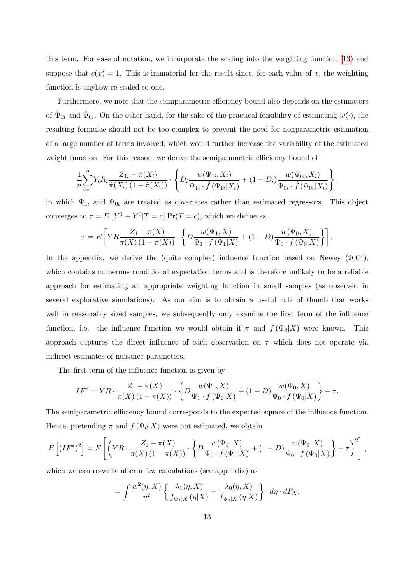this term. For ease of notation, we incorporate the scaling into the weighting function [\(13\)](#page-13-1) and suppose that  $c(x) = 1$ . This is immaterial for the result since, for each value of x, the weighting function is anyhow re-scaled to one.

Furthermore, we note that the semiparametric efficiency bound also depends on the estimators of  $\hat{\Psi}_{1i}$  and  $\hat{\Psi}_{0i}$ . On the other hand, for the sake of the practical feasibility of estimating  $w(\cdot)$ , the resulting formulae should not be too complex to prevent the need for nonparametric estimation of a large number of terms involved, which would further increase the variability of the estimated weight function. For this reason, we derive the semiparametric efficiency bound of

$$
\frac{1}{n}\sum_{i=1}^n Y_i R_i \frac{Z_{1i} - \hat{\pi}(X_i)}{\hat{\pi}(X_i) (1 - \hat{\pi}(X_i))} \cdot \left\{ D_i \frac{w(\Psi_{1i}, X_i)}{\Psi_{1i} \cdot \hat{f}(\Psi_{1i}|X_i)} + (1 - D_i) \frac{w(\Psi_{0i}, X_i)}{\Psi_{0i} \cdot \hat{f}(\Psi_{0i}|X_i)} \right\},
$$

in which  $\Psi_{1i}$  and  $\Psi_{0i}$  are treated as covariates rather than estimated regressors. This object converges to  $\tau = E[Y^1 - Y^0 | T = c] Pr(T = c)$ , which we define as

$$
\tau = E\left[ YR \frac{Z_1 - \pi(X)}{\pi(X) (1 - \pi(X))} \cdot \left\{ D \frac{w(\Psi_1, X)}{\Psi_1 \cdot f(\Psi_1 | X)} + (1 - D) \frac{w(\Psi_0, X)}{\Psi_0 \cdot f(\Psi_0 | X)} \right\} \right].
$$

In the appendix, we derive the (quite complex) influence function based on Newey (2004), which contains numerous conditional expectation terms and is therefore unlikely to be a reliable approach for estimating an appropriate weighting function in small samples (as observed in several explorative simulations). As our aim is to obtain a useful rule of thumb that works well in reasonably sized samples, we subsequently only examine the first term of the influence function, i.e. the influence function we would obtain if  $\pi$  and  $f(\Psi_d|X)$  were known. This approach captures the direct influence of each observation on  $\tau$  which does not operate via indirect estimates of nuisance parameters.

The first term of the influence function is given by

$$
IF^* = YR \cdot \frac{Z_1 - \pi(X)}{\pi(X) \left(1 - \pi(X)\right)} \cdot \left\{ D\frac{w(\Psi_1, X)}{\Psi_1 \cdot f(\Psi_1 | X)} + (1 - D)\frac{w(\Psi_0, X)}{\Psi_0 \cdot f(\Psi_0 | X)} \right\} - \tau.
$$

The semiparametric efficiency bound corresponds to the expected square of the influence function. Hence, pretending  $\pi$  and  $f(\Psi_d|X)$  were not estimated, we obtain

$$
E\left[\left(IF^*\right)^2\right] = E\left[\left(YR \cdot \frac{Z_1 - \pi(X)}{\pi(X)\left(1 - \pi(X)\right)} \cdot \left\{D\frac{w(\Psi_1, X)}{\Psi_1 \cdot f(\Psi_1 | X)} + (1 - D)\frac{w(\Psi_0, X)}{\Psi_0 \cdot f(\Psi_0 | X)}\right\} - \tau\right)^2\right],
$$

which we can re-write after a few calculations (see appendix) as

$$
= \int \frac{w^2(\eta, X)}{\eta^2} \left\{ \frac{\lambda_1(\eta, X)}{f_{\Psi_1|X}(\eta|X)} + \frac{\lambda_0(\eta, X)}{f_{\Psi_0|X}(\eta|X)} \right\} \cdot d\eta \cdot dF_X,
$$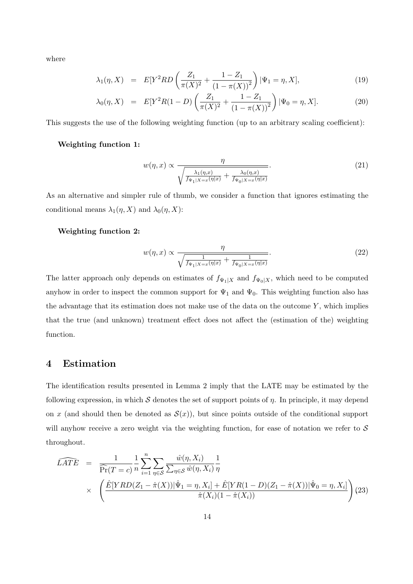where

<span id="page-16-4"></span>
$$
\lambda_1(\eta, X) = E[Y^2RD\left(\frac{Z_1}{\pi(X)^2} + \frac{1 - Z_1}{(1 - \pi(X))^2}\right) | \Psi_1 = \eta, X], \tag{19}
$$

$$
\lambda_0(\eta, X) = E[Y^2 R(1 - D) \left( \frac{Z_1}{\pi(X)^2} + \frac{1 - Z_1}{(1 - \pi(X))^2} \right) | \Psi_0 = \eta, X]. \tag{20}
$$

This suggests the use of the following weighting function (up to an arbitrary scaling coefficient):

#### Weighting function 1:

<span id="page-16-2"></span>
$$
w(\eta, x) \propto \frac{\eta}{\sqrt{\frac{\lambda_1(\eta, x)}{f_{\Psi_1|X=x}(\eta|x) + \frac{\lambda_0(\eta, x)}{f_{\Psi_0|X=x}(\eta|x)}}}. \tag{21}
$$

As an alternative and simpler rule of thumb, we consider a function that ignores estimating the conditional means  $\lambda_1(\eta, X)$  and  $\lambda_0(\eta, X)$ :

#### Weighting function 2:

<span id="page-16-3"></span>
$$
w(\eta, x) \propto \frac{\eta}{\sqrt{\frac{1}{f_{\Psi_1|X=x}(\eta|x)} + \frac{1}{f_{\Psi_0|X=x}(\eta|x)}}}.
$$
\n(22)

The latter approach only depends on estimates of  $f_{\Psi_1|X}$  and  $f_{\Psi_0|X}$ , which need to be computed anyhow in order to inspect the common support for  $\Psi_1$  and  $\Psi_0$ . This weighting function also has the advantage that its estimation does not make use of the data on the outcome  $Y$ , which implies that the true (and unknown) treatment effect does not affect the (estimation of the) weighting function.

# <span id="page-16-0"></span>4 Estimation

The identification results presented in Lemma 2 imply that the LATE may be estimated by the following expression, in which  $S$  denotes the set of support points of  $\eta$ . In principle, it may depend on x (and should then be denoted as  $S(x)$ ), but since points outside of the conditional support will anyhow receive a zero weight via the weighting function, for ease of notation we refer to  $S$ throughout.

<span id="page-16-1"></span>
$$
\widehat{LATE} = \frac{1}{\widehat{\Pr}(T = c)} \frac{1}{n} \sum_{i=1}^{n} \sum_{\eta \in \mathcal{S}} \frac{\hat{w}(\eta, X_i)}{\sum_{\eta \in \mathcal{S}} \hat{w}(\eta, X_i)} \frac{1}{\eta} \times \left( \frac{\hat{E}[YRD(Z_1 - \hat{\pi}(X)) | \hat{\Psi}_1 = \eta, X_i] + \hat{E}[YR(1 - D)(Z_1 - \hat{\pi}(X)) | \hat{\Psi}_0 = \eta, X_i]}{\hat{\pi}(X_i)(1 - \hat{\pi}(X_i))} \right) (23)
$$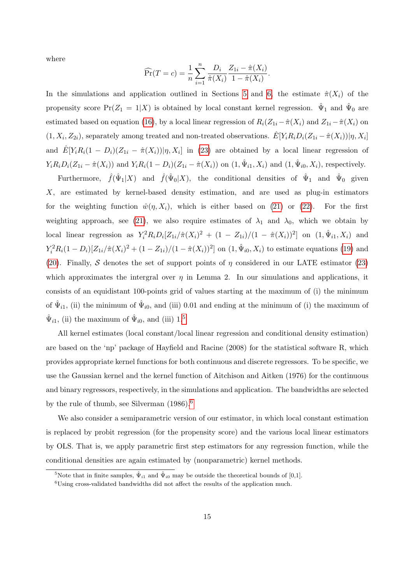where

$$
\widehat{\Pr}(T = c) = \frac{1}{n} \sum_{i=1}^{n} \frac{D_i}{\hat{\pi}(X_i)} \frac{Z_{1i} - \hat{\pi}(X_i)}{1 - \hat{\pi}(X_i)}.
$$

In the simulations and application outlined in Sections [5](#page-19-0) and [6,](#page-21-0) the estimate  $\hat{\pi}(X_i)$  of the propensity score  $Pr(Z_1 = 1 | X)$  is obtained by local constant kernel regression.  $\hat{\Psi}_1$  and  $\hat{\Psi}_0$  are estimated based on equation [\(16\)](#page-14-1), by a local linear regression of  $R_i(Z_{1i} - \hat{\pi}(X_i))$  and  $Z_{1i} - \hat{\pi}(X_i)$  on  $(1, X_i, Z_{2i})$ , separately among treated and non-treated observations.  $\hat{E}[Y_i R_i D_i (Z_{1i} - \hat{\pi}(X_i)) | \eta, X_i]$ and  $\hat{E}[Y_i R_i(1-D_i)(Z_{1i}-\hat{\pi}(X_i)) | \eta, X_i]$  in [\(23\)](#page-16-1) are obtained by a local linear regression of  $Y_i R_i D_i (Z_{1i} - \hat{\pi}(X_i))$  and  $Y_i R_i (1 - D_i) (Z_{1i} - \hat{\pi}(X_i))$  on  $(1, \hat{\Psi}_{i1}, X_i)$  and  $(1, \hat{\Psi}_{i0}, X_i)$ , respectively.

Furthermore,  $\hat{f}(\hat{\Psi}_1|X)$  and  $\hat{f}(\hat{\Psi}_0|X)$ , the conditional densities of  $\hat{\Psi}_1$  and  $\hat{\Psi}_0$  given X, are estimated by kernel-based density estimation, and are used as plug-in estimators for the weighting function  $\hat{w}(\eta, X_i)$ , which is either based on [\(21\)](#page-16-2) or [\(22\)](#page-16-3). For the first weighting approach, see [\(21\)](#page-16-2), we also require estimates of  $\lambda_1$  and  $\lambda_0$ , which we obtain by local linear regression as  $Y_i^2 R_i D_i [Z_{1i}/\pi(X_i)^2 + (1 - Z_{1i})/(1 - \pi(X_i))^2]$  on  $(1, \hat{\Psi}_{i1}, X_i)$  and  $Y_i^2 R_i (1 - D_i) [Z_{1i}/\hat{\pi}(X_i)^2 + (1 - Z_{1i})/(1 - \hat{\pi}(X_i))^2]$  on  $(1, \hat{\Psi}_{i0}, X_i)$  to estimate equations [\(19\)](#page-16-4) and [\(20\)](#page-16-4). Finally, S denotes the set of support points of  $\eta$  considered in our LATE estimator [\(23\)](#page-16-1) which approximates the intergral over  $\eta$  in Lemma 2. In our simulations and applications, it consists of an equidistant 100-points grid of values starting at the maximum of (i) the minimum of  $\hat{\Psi}_{i1}$ , (ii) the minimum of  $\hat{\Psi}_{i0}$ , and (iii) 0.01 and ending at the minimum of (i) the maximum of  $\hat{\Psi}_{i1}$ , (ii) the maximum of  $\hat{\Psi}_{i0}$ , and (iii)  $1.^5$  $1.^5$ 

All kernel estimates (local constant/local linear regression and conditional density estimation) are based on the 'np' package of Hayfield and Racine (2008) for the statistical software R, which provides appropriate kernel functions for both continuous and discrete regressors. To be specific, we use the Gaussian kernel and the kernel function of Aitchison and Aitken (1976) for the continuous and binary regressors, respectively, in the simulations and application. The bandwidths are selected by the rule of thumb, see Silverman (1986).[6](#page-17-1)

We also consider a semiparametric version of our estimator, in which local constant estimation is replaced by probit regression (for the propensity score) and the various local linear estimators by OLS. That is, we apply parametric first step estimators for any regression function, while the conditional densities are again estimated by (nonparametric) kernel methods.

<span id="page-17-1"></span><span id="page-17-0"></span><sup>&</sup>lt;sup>5</sup>Note that in finite samples,  $\hat{\Psi}_{i1}$  and  $\hat{\Psi}_{i0}$  may be outside the theoretical bounds of [0,1].

<sup>&</sup>lt;sup>6</sup>Using cross-validated bandwidths did not affect the results of the application much.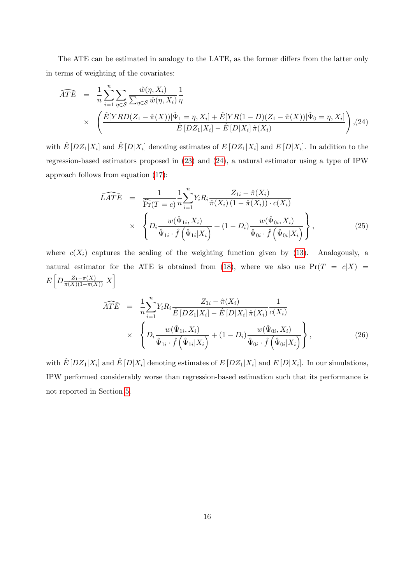The ATE can be estimated in analogy to the LATE, as the former differs from the latter only in terms of weighting of the covariates:

<span id="page-18-0"></span>
$$
\widehat{ATE} = \frac{1}{n} \sum_{i=1}^{n} \sum_{\eta \in \mathcal{S}} \frac{\hat{w}(\eta, X_i)}{\sum_{\eta \in \mathcal{S}} \hat{w}(\eta, X_i)} \frac{1}{\eta}
$$
\n
$$
\times \left( \frac{\hat{E}[YRD(Z_1 - \hat{\pi}(X)) | \hat{\Psi}_1 = \eta, X_i] + \hat{E}[YR(1 - D)(Z_1 - \hat{\pi}(X)) | \hat{\Psi}_0 = \eta, X_i]}{\hat{E}[DZ_1 | X_i] - \hat{E}[D|X_i] \hat{\pi}(X_i)} \right), (24)
$$

with  $\hat{E}[DZ_1|X_i]$  and  $\hat{E}[D|X_i]$  denoting estimates of  $E[DZ_1|X_i]$  and  $E[D|X_i]$ . In addition to the regression-based estimators proposed in [\(23\)](#page-16-1) and [\(24\)](#page-18-0), a natural estimator using a type of IPW approach follows from equation [\(17\)](#page-14-0):

<span id="page-18-1"></span>
$$
\widehat{LATE} = \frac{1}{\widehat{\Pr}(T = c)} \frac{1}{n} \sum_{i=1}^{n} Y_i R_i \frac{Z_{1i} - \hat{\pi}(X_i)}{\hat{\pi}(X_i) (1 - \hat{\pi}(X_i)) \cdot c(X_i)} \\
\times \left\{ D_i \frac{w(\hat{\Psi}_{1i}, X_i)}{\hat{\Psi}_{1i} \cdot \hat{f}(\hat{\Psi}_{1i}|X_i)} + (1 - D_i) \frac{w(\hat{\Psi}_{0i}, X_i)}{\hat{\Psi}_{0i} \cdot \hat{f}(\hat{\Psi}_{0i}|X_i)} \right\},
$$
\n(25)

where  $c(X_i)$  captures the scaling of the weighting function given by [\(13\)](#page-13-1). Analogously, a natural estimator for the ATE is obtained from [\(18\)](#page-14-2), where we also use  $Pr(T = c|X)$  $E\left[D\frac{Z_1-\pi(X)}{\pi(X)(1-\pi(X))}|X\right]$ 

<span id="page-18-2"></span>
$$
\widehat{ATE} = \frac{1}{n} \sum_{i=1}^{n} Y_i R_i \frac{Z_{1i} - \hat{\pi}(X_i)}{\hat{E} \left[ DZ_1 | X_i \right] - \hat{E} \left[ D | X_i \right] \hat{\pi}(X_i)} \times \left\{ D_i \frac{w(\hat{\Psi}_{1i}, X_i)}{\hat{\Psi}_{1i} \cdot \hat{f} \left( \hat{\Psi}_{1i} | X_i \right)} + (1 - D_i) \frac{w(\hat{\Psi}_{0i}, X_i)}{\hat{\Psi}_{0i} \cdot \hat{f} \left( \hat{\Psi}_{0i} | X_i \right)} \right\},
$$
\n(26)

with  $\hat{E}[DZ_1|X_i]$  and  $\hat{E}[D|X_i]$  denoting estimates of  $E[DZ_1|X_i]$  and  $E[D|X_i]$ . In our simulations, IPW performed considerably worse than regression-based estimation such that its performance is not reported in Section [5.](#page-19-0)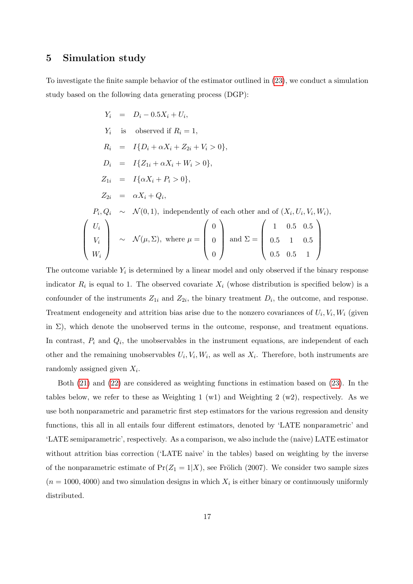### <span id="page-19-0"></span>5 Simulation study

To investigate the finite sample behavior of the estimator outlined in [\(23\)](#page-16-1), we conduct a simulation study based on the following data generating process (DGP):

$$
Y_i = D_i - 0.5X_i + U_i,
$$
  
\n
$$
Y_i
$$
 is observed if  $R_i = 1$ ,  
\n
$$
R_i = I{D_i + \alpha X_i + Z_{2i} + V_i > 0},
$$
  
\n
$$
D_i = I{Z_{1i} + \alpha X_i + W_i > 0},
$$
  
\n
$$
Z_{1i} = I{\alpha X_i + P_i > 0},
$$
  
\n
$$
Z_{2i} = \alpha X_i + Q_i,
$$
  
\n
$$
P_i, Q_i \sim N(0, 1),
$$
 independently of each other and of  $(X_i, U_i, V_i, W_i),$   
\n
$$
\begin{pmatrix} U_i \\ V_i \\ V_i \end{pmatrix} \sim N(\mu, \Sigma),
$$
 where  $\mu = \begin{pmatrix} 0 \\ 0 \\ 0 \\ 0 \end{pmatrix}$  and  $\Sigma = \begin{pmatrix} 1 & 0.5 & 0.5 \\ 0.5 & 1 & 0.5 \\ 0.5 & 0.5 & 1 \end{pmatrix}$ 

The outcome variable  $Y_i$  is determined by a linear model and only observed if the binary response indicator  $R_i$  is equal to 1. The observed covariate  $X_i$  (whose distribution is specified below) is a confounder of the instruments  $Z_{1i}$  and  $Z_{2i}$ , the binary treatment  $D_i$ , the outcome, and response. Treatment endogeneity and attrition bias arise due to the nonzero covariances of  $U_i, V_i, W_i$  (given in  $\Sigma$ ), which denote the unobserved terms in the outcome, response, and treatment equations. In contrast,  $P_i$  and  $Q_i$ , the unobservables in the instrument equations, are independent of each other and the remaining unobservables  $U_i$ ,  $V_i$ ,  $W_i$ , as well as  $X_i$ . Therefore, both instruments are randomly assigned given  $X_i$ .

Both [\(21\)](#page-16-2) and [\(22\)](#page-16-3) are considered as weighting functions in estimation based on [\(23\)](#page-16-1). In the tables below, we refer to these as Weighting 1 (w1) and Weighting 2 (w2), respectively. As we use both nonparametric and parametric first step estimators for the various regression and density functions, this all in all entails four different estimators, denoted by 'LATE nonparametric' and 'LATE semiparametric', respectively. As a comparison, we also include the (naive) LATE estimator without attrition bias correction ('LATE naive' in the tables) based on weighting by the inverse of the nonparametric estimate of  $Pr(Z_1 = 1 | X)$ , see Frölich (2007). We consider two sample sizes  $(n = 1000, 4000)$  and two simulation designs in which  $X_i$  is either binary or continuously uniformly distributed.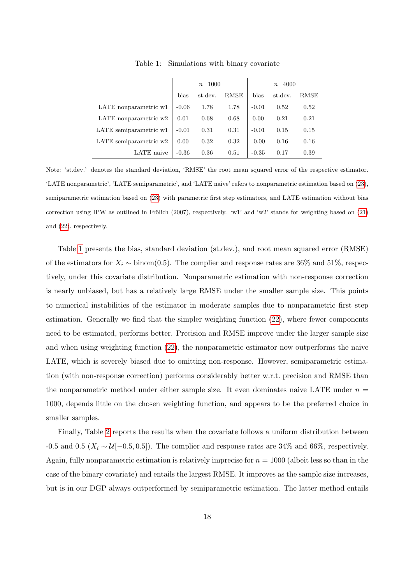|                          |         | $n = 1000$ |      | $n = 4000$ |         |      |  |
|--------------------------|---------|------------|------|------------|---------|------|--|
|                          | bias    | st.dev.    | RMSE | bias       | st.dev. | RMSE |  |
| LATE nonparametric w1    | $-0.06$ | 1.78       | 1.78 | $-0.01$    | 0.52    | 0.52 |  |
| LATE nonparametric $w2$  | 0.01    | 0.68       | 0.68 | 0.00       | 0.21    | 0.21 |  |
| LATE semiparametric w1   | $-0.01$ | 0.31       | 0.31 | $-0.01$    | 0.15    | 0.15 |  |
| LATE semiparametric $w2$ | 0.00    | 0.32       | 0.32 | $-0.00$    | 0.16    | 0.16 |  |
| LATE naive               | $-0.36$ | 0.36       | 0.51 | $-0.35$    | 0.17    | 0.39 |  |

<span id="page-20-0"></span>Table 1: Simulations with binary covariate

Note: 'st.dev.' denotes the standard deviation, 'RMSE' the root mean squared error of the respective estimator. 'LATE nonparametric', 'LATE semiparametric', and 'LATE naive' refers to nonparametric estimation based on [\(23\)](#page-16-1), semiparametric estimation based on [\(23\)](#page-16-1) with parametric first step estimators, and LATE estimation without bias correction using IPW as outlined in Frölich (2007), respectively. 'w1' and 'w2' stands for weighting based on  $(21)$ and [\(22\)](#page-16-3), respectively.

Table [1](#page-20-0) presents the bias, standard deviation (st.dev.), and root mean squared error (RMSE) of the estimators for  $X_i \sim \text{binom}(0.5)$ . The complier and response rates are 36% and 51%, respectively, under this covariate distribution. Nonparametric estimation with non-response correction is nearly unbiased, but has a relatively large RMSE under the smaller sample size. This points to numerical instabilities of the estimator in moderate samples due to nonparametric first step estimation. Generally we find that the simpler weighting function [\(22\)](#page-16-3), where fewer components need to be estimated, performs better. Precision and RMSE improve under the larger sample size and when using weighting function [\(22\)](#page-16-3), the nonparametric estimator now outperforms the naive LATE, which is severely biased due to omitting non-response. However, semiparametric estimation (with non-response correction) performs considerably better w.r.t. precision and RMSE than the nonparametric method under either sample size. It even dominates naive LATE under  $n =$ 1000, depends little on the chosen weighting function, and appears to be the preferred choice in smaller samples.

Finally, Table [2](#page-21-1) reports the results when the covariate follows a uniform distribution between -0.5 and 0.5 ( $X_i \sim \mathcal{U}[-0.5, 0.5]$ ). The complier and response rates are 34% and 66%, respectively. Again, fully nonparametric estimation is relatively imprecise for  $n = 1000$  (albeit less so than in the case of the binary covariate) and entails the largest RMSE. It improves as the sample size increases, but is in our DGP always outperformed by semiparametric estimation. The latter method entails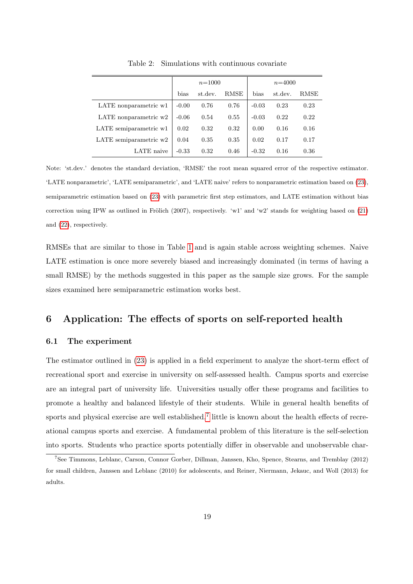|                         | $n = 1000$ |         |      | $n = 4000$ |         |      |  |
|-------------------------|------------|---------|------|------------|---------|------|--|
|                         | bias       | st.dev. | RMSE | bias       | st.dev. | RMSE |  |
| LATE nonparametric w1   | $-0.00$    | 0.76    | 0.76 | $-0.03$    | 0.23    | 0.23 |  |
| LATE nonparametric $w2$ | $-0.06$    | 0.54    | 0.55 | $-0.03$    | 0.22    | 0.22 |  |
| LATE semiparametric w1  | 0.02       | 0.32    | 0.32 | 0.00       | 0.16    | 0.16 |  |
| LATE semiparametric w2  | 0.04       | 0.35    | 0.35 | 0.02       | 0.17    | 0.17 |  |
| LATE naive              | $-0.33$    | 0.32    | 0.46 | $-0.32$    | 0.16    | 0.36 |  |

<span id="page-21-1"></span>Table 2: Simulations with continuous covariate

Note: 'st.dev.' denotes the standard deviation, 'RMSE' the root mean squared error of the respective estimator. 'LATE nonparametric', 'LATE semiparametric', and 'LATE naive' refers to nonparametric estimation based on [\(23\)](#page-16-1), semiparametric estimation based on [\(23\)](#page-16-1) with parametric first step estimators, and LATE estimation without bias correction using IPW as outlined in Frölich (2007), respectively. 'w1' and 'w2' stands for weighting based on [\(21\)](#page-16-2) and [\(22\)](#page-16-3), respectively.

RMSEs that are similar to those in Table [1](#page-20-0) and is again stable across weighting schemes. Naive LATE estimation is once more severely biased and increasingly dominated (in terms of having a small RMSE) by the methods suggested in this paper as the sample size grows. For the sample sizes examined here semiparametric estimation works best.

# <span id="page-21-0"></span>6 Application: The effects of sports on self-reported health

#### 6.1 The experiment

The estimator outlined in [\(23\)](#page-16-1) is applied in a field experiment to analyze the short-term effect of recreational sport and exercise in university on self-assessed health. Campus sports and exercise are an integral part of university life. Universities usually offer these programs and facilities to promote a healthy and balanced lifestyle of their students. While in general health benefits of sports and physical exercise are well established,<sup>[7](#page-21-2)</sup> little is known about the health effects of recreational campus sports and exercise. A fundamental problem of this literature is the self-selection into sports. Students who practice sports potentially differ in observable and unobservable char-

<span id="page-21-2"></span><sup>7</sup>See Timmons, Leblanc, Carson, Connor Gorber, Dillman, Janssen, Kho, Spence, Stearns, and Tremblay (2012) for small children, Janssen and Leblanc (2010) for adolescents, and Reiner, Niermann, Jekauc, and Woll (2013) for adults.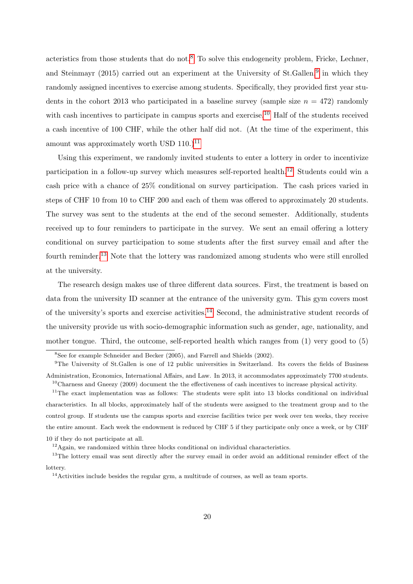acteristics from those students that do not.<sup>[8](#page-22-0)</sup> To solve this endogeneity problem, Fricke, Lechner, and Steinmayr  $(2015)$  carried out an experiment at the University of St.Gallen,<sup>[9](#page-22-1)</sup> in which they randomly assigned incentives to exercise among students. Specifically, they provided first year students in the cohort 2013 who participated in a baseline survey (sample size  $n = 472$ ) randomly with cash incentives to participate in campus sports and exercise.<sup>[10](#page-22-2)</sup> Half of the students received a cash incentive of 100 CHF, while the other half did not. (At the time of the experiment, this amount was approximately worth USD  $110.^{11}$  $110.^{11}$ 

Using this experiment, we randomly invited students to enter a lottery in order to incentivize participation in a follow-up survey which measures self-reported health.[12](#page-22-4) Students could win a cash price with a chance of 25% conditional on survey participation. The cash prices varied in steps of CHF 10 from 10 to CHF 200 and each of them was offered to approximately 20 students. The survey was sent to the students at the end of the second semester. Additionally, students received up to four reminders to participate in the survey. We sent an email offering a lottery conditional on survey participation to some students after the first survey email and after the fourth reminder.<sup>[13](#page-22-5)</sup> Note that the lottery was randomized among students who were still enrolled at the university.

The research design makes use of three different data sources. First, the treatment is based on data from the university ID scanner at the entrance of the university gym. This gym covers most of the university's sports and exercise activities.[14](#page-22-6) Second, the administrative student records of the university provide us with socio-demographic information such as gender, age, nationality, and mother tongue. Third, the outcome, self-reported health which ranges from (1) very good to (5)

<span id="page-22-1"></span><span id="page-22-0"></span><sup>8</sup>See for example Schneider and Becker (2005), and Farrell and Shields (2002).

<sup>&</sup>lt;sup>9</sup>The University of St.Gallen is one of 12 public universities in Switzerland. Its covers the fields of Business Administration, Economics, International Affairs, and Law. In 2013, it accommodates approximately 7700 students.  $10$ Charness and Gneezy (2009) document the the effectiveness of cash incentives to increase physical activity.

<span id="page-22-3"></span><span id="page-22-2"></span><sup>&</sup>lt;sup>11</sup>The exact implementation was as follows: The students were split into 13 blocks conditional on individual characteristics. In all blocks, approximately half of the students were assigned to the treatment group and to the control group. If students use the campus sports and exercise facilities twice per week over ten weeks, they receive the entire amount. Each week the endowment is reduced by CHF 5 if they participate only once a week, or by CHF 10 if they do not participate at all.

<span id="page-22-5"></span><span id="page-22-4"></span> $12$ Again, we randomized within three blocks conditional on individual characteristics.

<sup>&</sup>lt;sup>13</sup>The lottery email was sent directly after the survey email in order avoid an additional reminder effect of the lottery.

<span id="page-22-6"></span> $14$ Activities include besides the regular gym, a multitude of courses, as well as team sports.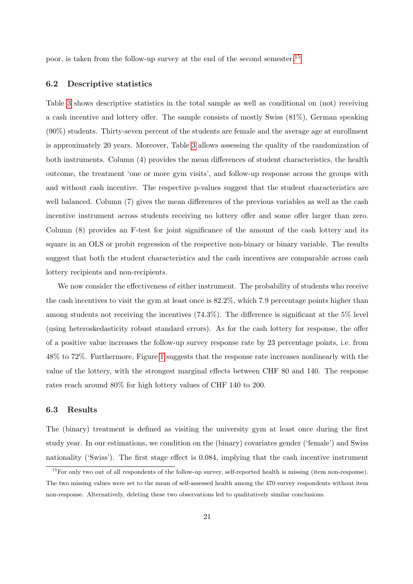poor, is taken from the follow-up survey at the end of the second semester.[15](#page-23-0)

#### 6.2 Descriptive statistics

Table [3](#page-24-0) shows descriptive statistics in the total sample as well as conditional on (not) receiving a cash incentive and lottery offer. The sample consists of mostly Swiss (81%), German speaking (90%) students. Thirty-seven percent of the students are female and the average age at enrollment is approximately 20 years. Moreover, Table [3](#page-24-0) allows assessing the quality of the randomization of both instruments. Column (4) provides the mean differences of student characteristics, the health outcome, the treatment 'one or more gym visits', and follow-up response across the groups with and without cash incentive. The respective p-values suggest that the student characteristics are well balanced. Column (7) gives the mean differences of the previous variables as well as the cash incentive instrument across students receiving no lottery offer and some offer larger than zero. Column (8) provides an F-test for joint significance of the amount of the cash lottery and its square in an OLS or probit regression of the respective non-binary or binary variable. The results suggest that both the student characteristics and the cash incentives are comparable across cash lottery recipients and non-recipients.

We now consider the effectiveness of either instrument. The probability of students who receive the cash incentives to visit the gym at least once is 82.2%, which 7.9 percentage points higher than among students not receiving the incentives (74.3%). The difference is significant at the 5% level (using heteroskedasticity robust standard errors). As for the cash lottery for response, the offer of a positive value increases the follow-up survey response rate by 23 percentage points, i.e. from 48% to 72%. Furthermore, Figure [1](#page-25-0) suggests that the response rate increases nonlinearly with the value of the lottery, with the strongest marginal effects between CHF 80 and 140. The response rates reach around 80% for high lottery values of CHF 140 to 200.

#### 6.3 Results

The (binary) treatment is defined as visiting the university gym at least once during the first study year. In our estimations, we condition on the (binary) covariates gender ('female') and Swiss nationality ('Swiss'). The first stage effect is 0.084, implying that the cash incentive instrument

<span id="page-23-0"></span> $15$ For only two out of all respondents of the follow-up survey, self-reported health is missing (item non-response). The two missing values were set to the mean of self-assessed health among the 470 survey respondents without item non-response. Alternatively, deleting these two observations led to qualitatively similar conclusions.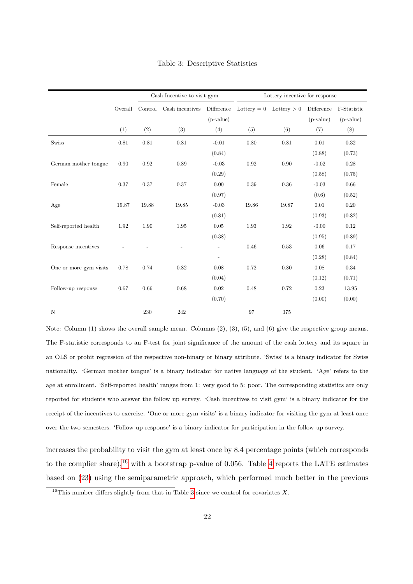|                        |         | Cash Incentive to visit gym |                 |                          | Lottery incentive for response |                         |             |             |
|------------------------|---------|-----------------------------|-----------------|--------------------------|--------------------------------|-------------------------|-------------|-------------|
|                        | Overall | Control                     | Cash incentives | Difference               |                                | Lottery = 0 Lottery > 0 | Difference  | F-Statistic |
|                        |         |                             |                 | $(p-value)$              |                                |                         | $(p-value)$ | $(p-value)$ |
|                        | (1)     | (2)                         | (3)             | (4)                      | (5)                            | (6)                     | (7)         | (8)         |
| <b>Swiss</b>           | 0.81    | 0.81                        | 0.81            | $-0.01$                  | 0.80                           | 0.81                    | 0.01        | 0.32        |
|                        |         |                             |                 | (0.84)                   |                                |                         | (0.88)      | (0.73)      |
| German mother tongue   | 0.90    | 0.92                        | 0.89            | $-0.03$                  | 0.92                           | 0.90                    | $-0.02$     | 0.28        |
|                        |         |                             |                 | (0.29)                   |                                |                         | (0.58)      | (0.75)      |
| Female                 | 0.37    | 0.37                        | 0.37            | 0.00                     | 0.39                           | 0.36                    | $-0.03$     | 0.66        |
|                        |         |                             |                 | (0.97)                   |                                |                         | (0.6)       | (0.52)      |
| Age                    | 19.87   | 19.88                       | 19.85           | $-0.03$                  | 19.86                          | 19.87                   | 0.01        | 0.20        |
|                        |         |                             |                 | (0.81)                   |                                |                         | (0.93)      | (0.82)      |
| Self-reported health   | 1.92    | 1.90                        | 1.95            | 0.05                     | 1.93                           | 1.92                    | $-0.00$     | 0.12        |
|                        |         |                             |                 | (0.38)                   |                                |                         | (0.95)      | (0.89)      |
| Response incentives    |         |                             |                 |                          | 0.46                           | 0.53                    | 0.06        | 0.17        |
|                        |         |                             |                 | $\overline{\phantom{a}}$ |                                |                         | (0.28)      | (0.84)      |
| One or more gym visits | 0.78    | 0.74                        | 0.82            | 0.08                     | 0.72                           | 0.80                    | 0.08        | 0.34        |
|                        |         |                             |                 | (0.04)                   |                                |                         | (0.12)      | (0.71)      |
| Follow-up response     | 0.67    | 0.66                        | 0.68            | 0.02                     | 0.48                           | 0.72                    | 0.23        | 13.95       |
|                        |         |                             |                 | (0.70)                   |                                |                         | (0.00)      | (0.00)      |
| N                      |         | 230                         | 242             |                          | 97                             | 375                     |             |             |

<span id="page-24-0"></span>Table 3: Descriptive Statistics

Note: Column (1) shows the overall sample mean. Columns (2), (3), (5), and (6) give the respective group means. The F-statistic corresponds to an F-test for joint significance of the amount of the cash lottery and its square in an OLS or probit regression of the respective non-binary or binary attribute. 'Swiss' is a binary indicator for Swiss nationality. 'German mother tongue' is a binary indicator for native language of the student. 'Age' refers to the age at enrollment. 'Self-reported health' ranges from 1: very good to 5: poor. The corresponding statistics are only reported for students who answer the follow up survey. 'Cash incentives to visit gym' is a binary indicator for the receipt of the incentives to exercise. 'One or more gym visits' is a binary indicator for visiting the gym at least once over the two semesters. 'Follow-up response' is a binary indicator for participation in the follow-up survey.

increases the probability to visit the gym at least once by 8.4 percentage points (which corresponds to the complier share),<sup>[16](#page-24-1)</sup> with a bootstrap p-value of 0.056. Table [4](#page-25-1) reports the LATE estimates based on [\(23\)](#page-16-1) using the semiparametric approach, which performed much better in the previous

<span id="page-24-1"></span><sup>&</sup>lt;sup>16</sup>This number differs slightly from that in Table [3](#page-24-0) since we control for covariates  $X$ .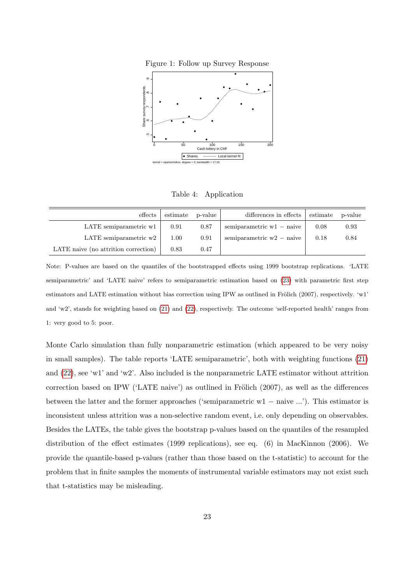<span id="page-25-0"></span>



<span id="page-25-1"></span>Table 4: Application

| $_{\rm{effects}}$                    | estimate | p-value | differences in effects      | estimate | p-value |
|--------------------------------------|----------|---------|-----------------------------|----------|---------|
| LATE semiparametric w1               | 0.91     | 0.87    | semiparametric $w1$ – naive | 0.08     | 0.93    |
| LATE semiparametric w2               | 1.00     | 0.91    | semiparametric $w2$ – naive | 0.18     | 0.84    |
| LATE naive (no attrition correction) | 0.83     | 0.47    |                             |          |         |

Note: P-values are based on the quantiles of the bootstrapped effects using 1999 bootstrap replications. 'LATE semiparametric' and 'LATE naive' refers to semiparametric estimation based on [\(23\)](#page-16-1) with parametric first step estimators and LATE estimation without bias correction using IPW as outlined in Frölich (2007), respectively. 'w1' and 'w2', stands for weighting based on [\(21\)](#page-16-2) and [\(22\)](#page-16-3), respectively. The outcome 'self-reported health' ranges from 1: very good to 5: poor.

Monte Carlo simulation than fully nonparametric estimation (which appeared to be very noisy in small samples). The table reports 'LATE semiparametric', both with weighting functions [\(21\)](#page-16-2) and [\(22\)](#page-16-3), see 'w1' and 'w2'. Also included is the nonparametric LATE estimator without attrition correction based on IPW ('LATE naive') as outlined in Frölich  $(2007)$ , as well as the differences between the latter and the former approaches ('semiparametric w1 − naive ...'). This estimator is inconsistent unless attrition was a non-selective random event, i.e. only depending on observables. Besides the LATEs, the table gives the bootstrap p-values based on the quantiles of the resampled distribution of the effect estimates (1999 replications), see eq. (6) in MacKinnon (2006). We provide the quantile-based p-values (rather than those based on the t-statistic) to account for the problem that in finite samples the moments of instrumental variable estimators may not exist such that t-statistics may be misleading.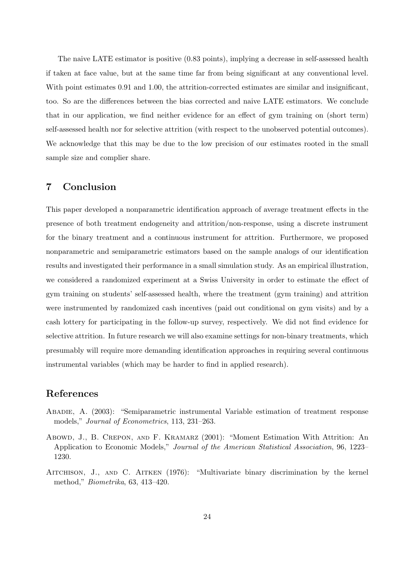The naive LATE estimator is positive (0.83 points), implying a decrease in self-assessed health if taken at face value, but at the same time far from being significant at any conventional level. With point estimates 0.91 and 1.00, the attrition-corrected estimates are similar and insignificant, too. So are the differences between the bias corrected and naive LATE estimators. We conclude that in our application, we find neither evidence for an effect of gym training on (short term) self-assessed health nor for selective attrition (with respect to the unobserved potential outcomes). We acknowledge that this may be due to the low precision of our estimates rooted in the small sample size and complier share.

# <span id="page-26-0"></span>7 Conclusion

This paper developed a nonparametric identification approach of average treatment effects in the presence of both treatment endogeneity and attrition/non-response, using a discrete instrument for the binary treatment and a continuous instrument for attrition. Furthermore, we proposed nonparametric and semiparametric estimators based on the sample analogs of our identification results and investigated their performance in a small simulation study. As an empirical illustration, we considered a randomized experiment at a Swiss University in order to estimate the effect of gym training on students' self-assessed health, where the treatment (gym training) and attrition were instrumented by randomized cash incentives (paid out conditional on gym visits) and by a cash lottery for participating in the follow-up survey, respectively. We did not find evidence for selective attrition. In future research we will also examine settings for non-binary treatments, which presumably will require more demanding identification approaches in requiring several continuous instrumental variables (which may be harder to find in applied research).

# References

- Abadie, A. (2003): "Semiparametric instrumental Variable estimation of treatment response models," Journal of Econometrics, 113, 231–263.
- Abowd, J., B. Crepon, and F. Kramarz (2001): "Moment Estimation With Attrition: An Application to Economic Models," Journal of the American Statistical Association, 96, 1223– 1230.
- Aitchison, J., and C. Aitken (1976): "Multivariate binary discrimination by the kernel method," Biometrika, 63, 413–420.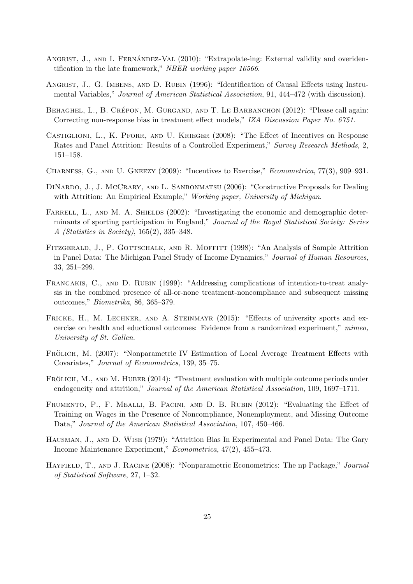- ANGRIST, J., AND I. FERNÁNDEZ-VAL  $(2010)$ : "Extrapolate-ing: External validity and overidentification in the late framework," NBER working paper 16566.
- Angrist, J., G. Imbens, and D. Rubin (1996): "Identification of Causal Effects using Instrumental Variables," Journal of American Statistical Association, 91, 444–472 (with discussion).
- BEHAGHEL, L., B. CRÉPON, M. GURGAND, AND T. LE BARBANCHON (2012): "Please call again: Correcting non-response bias in treatment effect models," IZA Discussion Paper No. 6751.
- Castiglioni, L., K. Pforr, and U. Krieger (2008): "The Effect of Incentives on Response Rates and Panel Attrition: Results of a Controlled Experiment," Survey Research Methods, 2, 151–158.
- CHARNESS, G., AND U. GNEEZY (2009): "Incentives to Exercise," Econometrica, 77(3), 909-931.
- DINARDO, J., J. MCCRARY, AND L. SANBONMATSU (2006): "Constructive Proposals for Dealing with Attrition: An Empirical Example," Working paper, University of Michigan.
- FARRELL, L., AND M. A. SHIELDS (2002): "Investigating the economic and demographic determinants of sporting participation in England," Journal of the Royal Statistical Society: Series A (Statistics in Society), 165(2), 335–348.
- FITZGERALD, J., P. GOTTSCHALK, AND R. MOFFITT (1998): "An Analysis of Sample Attrition in Panel Data: The Michigan Panel Study of Income Dynamics," Journal of Human Resources, 33, 251–299.
- FRANGAKIS, C., AND D. RUBIN (1999): "Addressing complications of intention-to-treat analysis in the combined presence of all-or-none treatment-noncompliance and subsequent missing outcomes," Biometrika, 86, 365–379.
- FRICKE, H., M. LECHNER, AND A. STEINMAYR (2015): "Effects of university sports and excercise on health and eductional outcomes: Evidence from a randomized experiment," mimeo, University of St. Gallen.
- FRÖLICH, M. (2007): "Nonparametric IV Estimation of Local Average Treatment Effects with Covariates," Journal of Econometrics, 139, 35–75.
- FRÖLICH, M., AND M. HUBER (2014): "Treatment evaluation with multiple outcome periods under endogeneity and attrition," Journal of the American Statistical Association, 109, 1697–1711.
- Frumento, P., F. Mealli, B. Pacini, and D. B. Rubin (2012): "Evaluating the Effect of Training on Wages in the Presence of Noncompliance, Nonemployment, and Missing Outcome Data," Journal of the American Statistical Association, 107, 450–466.
- Hausman, J., and D. Wise (1979): "Attrition Bias In Experimental and Panel Data: The Gary Income Maintenance Experiment," Econometrica, 47(2), 455–473.
- HAYFIELD, T., AND J. RACINE (2008): "Nonparametric Econometrics: The np Package," Journal of Statistical Software, 27, 1–32.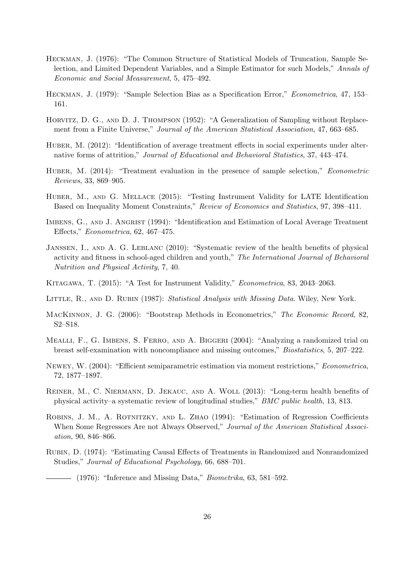- Heckman, J. (1976): "The Common Structure of Statistical Models of Truncation, Sample Selection, and Limited Dependent Variables, and a Simple Estimator for such Models," Annals of Economic and Social Measurement, 5, 475–492.
- Heckman, J. (1979): "Sample Selection Bias as a Specification Error," Econometrica, 47, 153– 161.
- HORVITZ, D. G., AND D. J. THOMPSON (1952): "A Generalization of Sampling without Replacement from a Finite Universe," Journal of the American Statistical Association, 47, 663–685.
- HUBER, M. (2012): "Identification of average treatment effects in social experiments under alternative forms of attrition," Journal of Educational and Behavioral Statistics, 37, 443–474.
- HUBER, M. (2014): "Treatment evaluation in the presence of sample selection," *Econometric* Reviews, 33, 869–905.
- Huber, M., and G. Mellace (2015): "Testing Instrument Validity for LATE Identification Based on Inequality Moment Constraints," Review of Economics and Statistics, 97, 398–411.
- IMBENS, G., AND J. ANGRIST (1994): "Identification and Estimation of Local Average Treatment Effects," Econometrica, 62, 467–475.
- Janssen, I., and A. G. Leblanc (2010): "Systematic review of the health benefits of physical activity and fitness in school-aged children and youth," The International Journal of Behavioral Nutrition and Physical Activity, 7, 40.
- Kitagawa, T. (2015): "A Test for Instrument Validity," Econometrica, 83, 2043–2063.
- LITTLE, R., AND D. RUBIN (1987): Statistical Analysis with Missing Data. Wiley, New York.
- MacKinnon, J. G. (2006): "Bootstrap Methods in Econometrics," The Economic Record, 82, S2–S18.
- MEALLI, F., G. IMBENS, S. FERRO, AND A. BIGGERI (2004): "Analyzing a randomized trial on breast self-examination with noncompliance and missing outcomes," Biostatistics, 5, 207–222.
- Newey, W. (2004): "Efficient semiparametric estimation via moment restrictions," Econometrica, 72, 1877–1897.
- Reiner, M., C. Niermann, D. Jekauc, and A. Woll (2013): "Long-term health benefits of physical activity–a systematic review of longitudinal studies," BMC public health, 13, 813.
- ROBINS, J. M., A. ROTNITZKY, AND L. ZHAO (1994): "Estimation of Regression Coefficients When Some Regressors Are not Always Observed," Journal of the American Statistical Association, 90, 846–866.
- Rubin, D. (1974): "Estimating Causal Effects of Treatments in Randomized and Nonrandomized Studies," Journal of Educational Psychology, 66, 688–701.

 $-$  (1976): "Inference and Missing Data," *Biometrika*, 63, 581–592.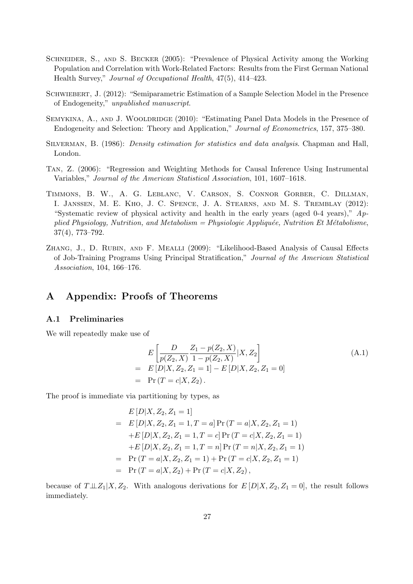- SCHNEIDER, S., AND S. BECKER (2005): "Prevalence of Physical Activity among the Working Population and Correlation with Work-Related Factors: Results from the First German National Health Survey," Journal of Occupational Health, 47(5), 414–423.
- SCHWIEBERT, J. (2012): "Semiparametric Estimation of a Sample Selection Model in the Presence of Endogeneity," unpublished manuscript.
- SEMYKINA, A., AND J. WOOLDRIDGE (2010): "Estimating Panel Data Models in the Presence of Endogeneity and Selection: Theory and Application," Journal of Econometrics, 157, 375–380.
- Silverman, B. (1986): Density estimation for statistics and data analysis. Chapman and Hall, London.
- Tan, Z. (2006): "Regression and Weighting Methods for Causal Inference Using Instrumental Variables," Journal of the American Statistical Association, 101, 1607–1618.
- Timmons, B. W., A. G. Leblanc, V. Carson, S. Connor Gorber, C. Dillman, I. Janssen, M. E. Kho, J. C. Spence, J. A. Stearns, and M. S. Tremblay (2012): "Systematic review of physical activity and health in the early years (aged 0-4 years),"  $Ap$ plied Physiology, Nutrition, and Metabolism = Physiologie Appliquée, Nutrition Et Métabolisme, 37(4), 773–792.
- Zhang, J., D. Rubin, and F. Mealli (2009): "Likelihood-Based Analysis of Causal Effects of Job-Training Programs Using Principal Stratification," Journal of the American Statistical Association, 104, 166–176.

### A Appendix: Proofs of Theorems

### A.1 Preliminaries

We will repeatedly make use of

<span id="page-29-0"></span>
$$
E\left[\frac{D}{p(Z_2, X)}\frac{Z_1 - p(Z_2, X)}{1 - p(Z_2, X)} | X, Z_2\right]
$$
  
=  $E[D|X, Z_2, Z_1 = 1] - E[D|X, Z_2, Z_1 = 0]$   
=  $Pr(T = c|X, Z_2).$  (A.1)

The proof is immediate via partitioning by types, as

$$
E[D|X, Z_2, Z_1 = 1]
$$
  
=  $E[D|X, Z_2, Z_1 = 1, T = a] Pr(T = a|X, Z_2, Z_1 = 1)$   
+ $E[D|X, Z_2, Z_1 = 1, T = c] Pr(T = c|X, Z_2, Z_1 = 1)$   
+ $E[D|X, Z_2, Z_1 = 1, T = n] Pr(T = n|X, Z_2, Z_1 = 1)$   
=  $Pr(T = a|X, Z_2, Z_1 = 1) + Pr(T = c|X, Z_2, Z_1 = 1)$   
=  $Pr(T = a|X, Z_2) + Pr(T = c|X, Z_2)$ ,

because of  $T\perp\!\!\!\perp Z_1|X,Z_2$ . With analogous derivations for  $E[D|X,Z_2,Z_1=0]$ , the result follows immediately.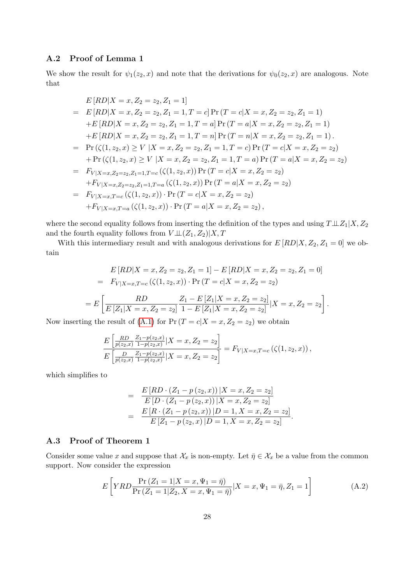### A.2 Proof of Lemma 1

We show the result for  $\psi_1(z_2, x)$  and note that the derivations for  $\psi_0(z_2, x)$  are analogous. Note that

$$
E[RD|X = x, Z_2 = z_2, Z_1 = 1]
$$
  
= 
$$
E[RD|X = x, Z_2 = z_2, Z_1 = 1, T = c] Pr(T = c|X = x, Z_2 = z_2, Z_1 = 1)
$$
  
+
$$
E[RD|X = x, Z_2 = z_2, Z_1 = 1, T = a] Pr(T = a|X = x, Z_2 = z_2, Z_1 = 1)
$$
  
+
$$
E[RD|X = x, Z_2 = z_2, Z_1 = 1, T = n] Pr(T = n|X = x, Z_2 = z_2, Z_1 = 1).
$$
  
= 
$$
Pr(\zeta(1, z_2, x) \ge V | X = x, Z_2 = z_2, Z_1 = 1, T = c) Pr(T = c|X = x, Z_2 = z_2)
$$
  
+ 
$$
Pr(\zeta(1, z_2, x) \ge V | X = x, Z_2 = z_2, Z_1 = 1, T = a) Pr(T = a|X = x, Z_2 = z_2)
$$
  
= 
$$
F_{V|X=x, Z_2=z_2, Z_1=1, T=a}(\zeta(1, z_2, x)) Pr(T = c|X = x, Z_2 = z_2)
$$
  
+ 
$$
F_{V|X=x, Z_2=z_2, Z_1=1, T=a}(\zeta(1, z_2, x)) Pr(T = a|X = x, Z_2 = z_2)
$$
  
= 
$$
F_{V|X=x, T=c}(\zeta(1, z_2, x)) \cdot Pr(T = c|X = x, Z_2 = z_2),
$$
  
+ 
$$
F_{V|X=x, T=a}(\zeta(1, z_2, x)) \cdot Pr(T = a|X = x, Z_2 = z_2),
$$

where the second equality follows from inserting the definition of the types and using  $T\bot\!\!\!\bot Z_1|X,Z_2$ and the fourth equality follows from  $V \bot\!\!\bot (Z_1,Z_2)|X,T$ 

With this intermediary result and with analogous derivations for  $E [RD|X, Z_2, Z_1 = 0]$  we obtain

$$
E[RD|X = x, Z_2 = z_2, Z_1 = 1] - E[RD|X = x, Z_2 = z_2, Z_1 = 0]
$$
  
=  $F_{V|X=x,T=c}(\zeta(1, z_2, x)) \cdot Pr(T = c|X = x, Z_2 = z_2)$   
=  $E\left[\frac{RD}{E[Z_1|X=x, Z_2 = z_2]} \frac{Z_1 - E[Z_1|X=x, Z_2 = z_2]}{1 - E[Z_1|X=x, Z_2 = z_2]}|X = x, Z_2 = z_2\right].$ 

Now inserting the result of [\(A.1\)](#page-29-0) for  $Pr(T = c | X = x, Z_2 = z_2)$  we obtain

$$
\frac{E\left[\frac{RD}{p(z_2,x)}\frac{Z_1-p(z_2,x)}{1-p(z_2,x)}|X=x,Z_2=z_2\right]}{E\left[\frac{D}{p(z_2,x)}\frac{Z_1-p(z_2,x)}{1-p(z_2,x)}|X=x,Z_2=z_2\right]} = F_{V|X=x,T=c}\left(\zeta(1,z_2,x)\right),
$$

which simplifies to

$$
= \frac{E[RD \cdot (Z_1 - p(z_2, x)) | X = x, Z_2 = z_2]}{E[D \cdot (Z_1 - p(z_2, x)) | X = x, Z_2 = z_2]}
$$
  
= 
$$
\frac{E[R \cdot (Z_1 - p(z_2, x)) | D = 1, X = x, Z_2 = z_2]}{E[Z_1 - p(z_2, x) | D = 1, X = x, Z_2 = z_2]}.
$$

### A.3 Proof of Theorem 1

Consider some value x and suppose that  $\mathcal{X}_x$  is non-empty. Let  $\bar{\eta} \in \mathcal{X}_x$  be a value from the common support. Now consider the expression

<span id="page-30-0"></span>
$$
E\left[ YRD \frac{\Pr(Z_1 = 1 | X = x, \Psi_1 = \bar{\eta})}{\Pr(Z_1 = 1 | Z_2, X = x, \Psi_1 = \bar{\eta})} | X = x, \Psi_1 = \bar{\eta}, Z_1 = 1 \right]
$$
(A.2)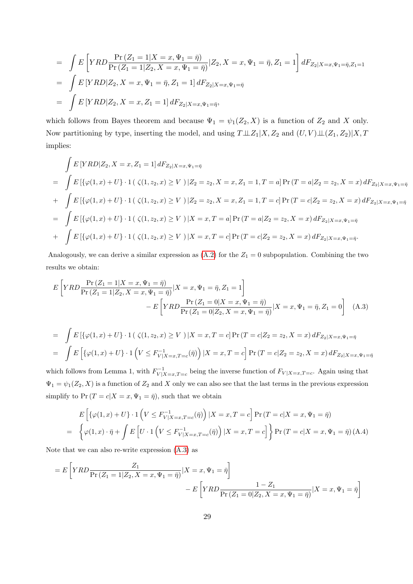$$
= \int E\left[ YRD \frac{\Pr(Z_1 = 1 | X = x, \Psi_1 = \bar{\eta})}{\Pr(Z_1 = 1 | Z_2, X = x, \Psi_1 = \bar{\eta})} | Z_2, X = x, \Psi_1 = \bar{\eta}, Z_1 = 1 \right] dF_{Z_2|X=x, \Psi_1 = \bar{\eta}, Z_1 = 1}
$$
  
\n
$$
= \int E\left[ YRD | Z_2, X = x, \Psi_1 = \bar{\eta}, Z_1 = 1 \right] dF_{Z_2|X=x, \Psi_1 = \bar{\eta}}
$$
  
\n
$$
= \int E\left[ YRD | Z_2, X = x, Z_1 = 1 \right] dF_{Z_2|X=x, \Psi_1 = \bar{\eta}},
$$

which follows from Bayes theorem and because  $\Psi_1 = \psi_1(Z_2, X)$  is a function of  $Z_2$  and X only. Now partitioning by type, inserting the model, and using  $T \perp\!\!\!\perp Z_1 | X, Z_2$  and  $(U, V) \perp\!\!\!\perp (Z_1, Z_2) | X, T_1 \perp \!\!\!\!\perp (Z_1, Z_2)$ implies:

$$
\int E\left[YRD|Z_2, X = x, Z_1 = 1\right] dF_{Z_2|X=x, \Psi_1=\bar{\eta}}
$$
\n
$$
= \int E\left[\{\varphi(1, x) + U\} \cdot 1\right] \left(\zeta(1, z_2, x) \ge V\right) |Z_2 = z_2, X = x, Z_1 = 1, T = a\right] \Pr\left(T = a | Z_2 = z_2, X = x\right) dF_{Z_2|X=x, \Psi_1=\bar{\eta}}
$$
\n
$$
+ \int E\left[\{\varphi(1, x) + U\} \cdot 1\right] \left(\zeta(1, z_2, x) \ge V\right) |Z_2 = z_2, X = x, Z_1 = 1, T = c\right] \Pr\left(T = c | Z_2 = z_2, X = x\right) dF_{Z_2|X=x, \Psi_1=\bar{\eta}}
$$
\n
$$
= \int E\left[\{\varphi(1, x) + U\} \cdot 1\right] \left(\zeta(1, z_2, x) \ge V\right) |X = x, T = a\right] \Pr\left(T = a | Z_2 = z_2, X = x\right) dF_{Z_2|X=x, \Psi_1=\bar{\eta}}
$$
\n
$$
+ \int E\left[\{\varphi(1, x) + U\} \cdot 1\right] \left(\zeta(1, z_2, x) \ge V\right) |X = x, T = c\right] \Pr\left(T = c | Z_2 = z_2, X = x\right) dF_{Z_2|X=x, \Psi_1=\bar{\eta}}.
$$

Analogously, we can derive a similar expression as  $(A.2)$  for the  $Z_1 = 0$  subpopulation. Combining the two results we obtain:

<span id="page-31-0"></span>
$$
E\left[YRD\frac{\Pr(Z_1=1|X=x,\Psi_1=\bar{\eta})}{\Pr(Z_1=1|Z_2,X=x,\Psi_1=\bar{\eta})}|X=x,\Psi_1=\bar{\eta},Z_1=1\right]
$$

$$
-E\left[YRD\frac{\Pr(Z_1=0|X=x,\Psi_1=\bar{\eta})}{\Pr(Z_1=0|Z_2,X=x,\Psi_1=\bar{\eta})}|X=x,\Psi_1=\bar{\eta},Z_1=0\right]
$$
(A.3)

$$
= \int E\left[\{\varphi(1,x) + U\} \cdot 1\left(\zeta(1,z_2,x) \ge V\right) | X = x, T = c\right] \Pr(T = c | Z_2 = z_2, X = x) dF_{Z_2|X=x, \Psi_1 = \bar{\eta}}
$$

$$
= \int E\left[\{\varphi(1,x) + U\} \cdot 1\left(V \le F_{V|X=x,T=c}^{-1}(\bar{\eta})\right) | X = x, T = c\right] \Pr(T = c | Z_2 = z_2, X = x) dF_{Z_2|X=x, \Psi_1 = \bar{\eta}}
$$

which follows from Lemma 1, with  $F_{V|X=x,T=c}^{-1}$  being the inverse function of  $F_{V|X=x,T=c}$ . Again using that  $\Psi_1 = \psi_1(Z_2, X)$  is a function of  $Z_2$  and X only we can also see that the last terms in the previous expression simplify to  $Pr(T = c | X = x, \Psi_1 = \overline{\eta})$ , such that we obtain

$$
E\left[\{\varphi(1,x)+U\}\cdot\mathbf{1}\left(V\leq F_{V|X=x,T=c}^{-1}(\bar{\eta})\right)|X=x,T=c\right]\Pr\left(T=c|X=x,\Psi_1=\bar{\eta}\right)
$$
\n
$$
=\left\{\varphi(1,x)\cdot\bar{\eta}+\int E\left[U\cdot\mathbf{1}\left(V\leq F_{V|X=x,T=c}^{-1}(\bar{\eta})\right)|X=x,T=c\right]\right\}\Pr\left(T=c|X=x,\Psi_1=\bar{\eta}\right)(A.4)
$$

Note that we can also re-write expression [\(A.3\)](#page-31-0) as

$$
= E\left[ YRD \frac{Z_1}{\Pr(Z_1 = 1 | Z_2, X = x, \Psi_1 = \bar{\eta})} | X = x, \Psi_1 = \bar{\eta} \right]
$$

$$
- E\left[ YRD \frac{1 - Z_1}{\Pr(Z_1 = 0 | Z_2, X = x, \Psi_1 = \bar{\eta})} | X = x, \Psi_1 = \bar{\eta} \right]
$$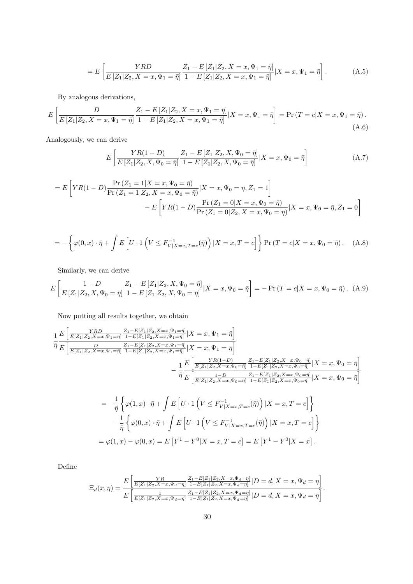$$
=E\left[\frac{YRD}{E\left[Z_1|Z_2,X=x,\Psi_1=\bar{\eta}\right]}\frac{Z_1-E\left[Z_1|Z_2,X=x,\Psi_1=\bar{\eta}\right]}{1-E\left[Z_1|Z_2,X=x,\Psi_1=\bar{\eta}\right]}\right].\tag{A.5}
$$

By analogous derivations,

$$
E\left[\frac{D}{E\left[Z_1|Z_2, X=x, \Psi_1=\bar{\eta}\right]} \frac{Z_1 - E\left[Z_1|Z_2, X=x, \Psi_1=\bar{\eta}\right]}{1 - E\left[Z_1|Z_2, X=x, \Psi_1=\bar{\eta}\right]} | X=x, \Psi_1=\bar{\eta}\right] = \Pr\left(T = c | X=x, \Psi_1=\bar{\eta}\right). \tag{A.6}
$$

Analogously, we can derive

$$
E\left[\frac{YR(1-D)}{E\left[Z_1|Z_2, X, \Psi_0 = \bar{\eta}\right]} \frac{Z_1 - E\left[Z_1|Z_2, X, \Psi_0 = \bar{\eta}\right]}{1 - E\left[Z_1|Z_2, X, \Psi_0 = \bar{\eta}\right]}\Big|X = x, \Psi_0 = \bar{\eta}\right]
$$
\n(A.7)

$$
= E\left[ YR(1-D) \frac{\Pr(Z_1 = 1 | X = x, \Psi_0 = \bar{\eta})}{\Pr(Z_1 = 1 | Z_2, X = x, \Psi_0 = \bar{\eta})} | X = x, \Psi_0 = \bar{\eta}, Z_1 = 1 \right]
$$

$$
- E\left[ YR(1-D) \frac{\Pr(Z_1 = 0 | X = x, \Psi_0 = \bar{\eta})}{\Pr(Z_1 = 0 | Z_2, X = x, \Psi_0 = \bar{\eta})} | X = x, \Psi_0 = \bar{\eta}, Z_1 = 0 \right]
$$

$$
= -\left\{ \varphi(0,x) \cdot \bar{\eta} + \int E\left[ U \cdot 1\left( V \le F_{V|X=x,T=c}^{-1}(\bar{\eta}) \right) | X=x,T=c \right] \right\} \Pr(T=c|X=x,\Psi_0=\bar{\eta}). \tag{A.8}
$$

Similarly, we can derive

$$
E\left[\frac{1-D}{E\left[Z_1|Z_2, X, \Psi_0 = \bar{\eta}\right]} \frac{Z_1 - E\left[Z_1|Z_2, X, \Psi_0 = \bar{\eta}\right]}{1 - E\left[Z_1|Z_2, X, \Psi_0 = \bar{\eta}\right]} | X = x, \Psi_0 = \bar{\eta}\right] = -\Pr(T = c | X = x, \Psi_0 = \bar{\eta}). \tag{A.9}
$$

Now putting all results together, we obtain

$$
\frac{1}{\eta} \frac{E\left[\frac{YRD}{E[Z_1|Z_2, X=x, \Psi_1=\bar{\eta}}\right] \frac{Z_1 - E[Z_1|Z_2, X=x, \Psi_1=\bar{\eta}}{1 - E[Z_1|Z_2, X=x, \Psi_1=\bar{\eta}}|X=x, \Psi_1=\bar{\eta}\right]}{\frac{Z_1 - E[Z_1|Z_2, X=x, \Psi_1=\bar{\eta}]}{1 - E[Z_1|Z_2, X=x, \Psi_1=\bar{\eta}}|X=x, \Psi_1=\bar{\eta}\right]} - \frac{1}{\eta} \frac{E\left[\frac{YR(1-D)}{E[Z_1|Z_2, X=x, \Psi_0=\bar{\eta}}\right] \frac{Z_1 - E[Z_1|Z_2, X=x, \Psi_0=\bar{\eta}]}{1 - E[Z_1|Z_2, X=x, \Psi_0=\bar{\eta}]}|X=x, \Psi_0=\bar{\eta}\right]}{-\frac{1}{\eta} \frac{E\left[\frac{YR(1-D)}{E[Z_1|Z_2, X=x, \Psi_0=\bar{\eta}}\right] \frac{Z_1 - E[Z_1|Z_2, X=x, \Psi_0=\bar{\eta}]}{1 - E[Z_1|Z_2, X=x, \Psi_0=\bar{\eta}]}|X=x, \Psi_0=\bar{\eta}\right]}{-\frac{1}{\eta} \left\{\varphi(1, x) \cdot \bar{\eta} + \int E\left[U \cdot 1\left(V \leq F^{-1}_{V|X=x, T=c}(\bar{\eta})\right)|X=x, T=c\right]\right\} - \frac{1}{\eta} \left\{\varphi(0, x) \cdot \bar{\eta} + \int E\left[U \cdot 1\left(V \leq F^{-1}_{V|X=x, T=c}(\bar{\eta})\right)|X=x, T=c\right]\right\}
$$
  
=  $\varphi(1, x) - \varphi(0, x) = E\left[Y^1 - Y^0|X=x, T=c\right] = E\left[Y^1 - Y^0|X=x\right].$ 

Define

$$
\Xi_d(x,\eta) = \frac{E\left[\frac{YR}{E[Z_1|Z_2,X=x,\Psi_d=\eta]} \frac{Z_1 - E[Z_1|Z_2,X=x,\Psi_d=\eta]}{1 - E[Z_1|Z_2,X=x,\Psi_d=\eta]}\right|D = d, X = x, \Psi_d = \eta\right]}{E\left[\frac{1}{E[Z_1|Z_2,X=x,\Psi_d=\eta]} \frac{Z_1 - E[Z_1|Z_2,X=x,\Psi_d=\eta]}{1 - E[Z_1|Z_2,X=x,\Psi_d=\eta]}\right|D = d, X = x, \Psi_d = \eta\right]}.
$$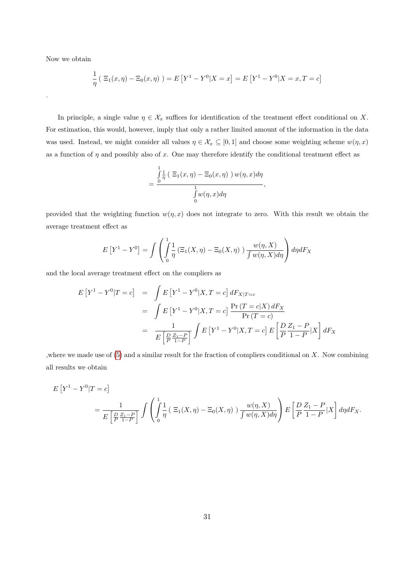Now we obtain

.

$$
\frac{1}{\eta} \left( \ \Xi_1(x,\eta) - \Xi_0(x,\eta) \ \right) = E \left[ Y^1 - Y^0 | X = x \right] = E \left[ Y^1 - Y^0 | X = x, T = c \right]
$$

In principle, a single value  $\eta \in \mathcal{X}_x$  suffices for identification of the treatment effect conditional on X. For estimation, this would, however, imply that only a rather limited amount of the information in the data was used. Instead, we might consider all values  $\eta \in \mathcal{X}_x \subseteq [0,1]$  and choose some weighting scheme  $w(\eta, x)$ as a function of  $\eta$  and possibly also of x. One may therefore identify the conditional treatment effect as

$$
= \frac{\int_{0}^{1} \frac{1}{\eta} \left( \Xi_1(x, \eta) - \Xi_0(x, \eta) \right) w(\eta, x) d\eta}{\int_{0}^{1} w(\eta, x) d\eta},
$$

provided that the weighting function  $w(\eta, x)$  does not integrate to zero. With this result we obtain the average treatment effect as

$$
E[Y^1 - Y^0] = \int \left( \int_0^1 \frac{1}{\eta} \left( \Xi_1(X, \eta) - \Xi_0(X, \eta) \right) \frac{w(\eta, X)}{\int w(\eta, X) d\eta} \right) d\eta dF_X
$$

and the local average treatment effect on the compliers as

$$
E[Y^{1} - Y^{0}|T = c] = \int E[Y^{1} - Y^{0}|X, T = c] dF_{X|T=c}
$$
  
= 
$$
\int E[Y^{1} - Y^{0}|X, T = c] \frac{\Pr(T = c|X) dF_{X}}{\Pr(T = c)}
$$
  
= 
$$
\frac{1}{E\left[\frac{D}{P}\frac{Z_{1} - P}{1 - P}\right]} \int E[Y^{1} - Y^{0}|X, T = c] E\left[\frac{D}{P}\frac{Z_{1} - P}{1 - P}|X\right] dF_{X}
$$

, where we made use of  $(5)$  and a similar result for the fraction of compliers conditional on X. Now combining all results we obtain

$$
E[Y^1 - Y^0|T = c]
$$
  
= 
$$
\frac{1}{E\left[\frac{D}{P}\frac{Z_1 - P}{1 - P}\right]} \int \left(\int_0^1 \frac{1}{\eta} \left(\Xi_1(X, \eta) - \Xi_0(X, \eta)\right) \frac{w(\eta, X)}{\int w(\eta, X)d\eta}\right) E\left[\frac{D}{P}\frac{Z_1 - P}{1 - P}|X\right] d\eta dF_X.
$$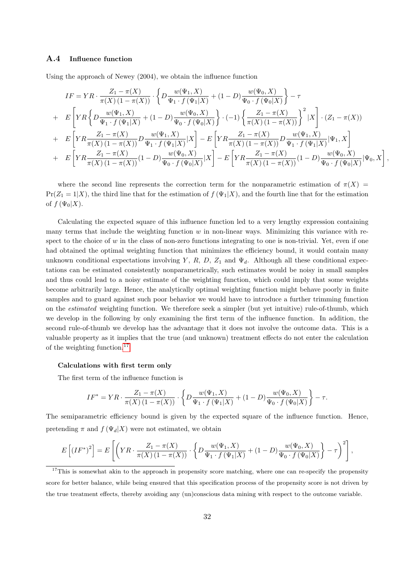#### A.4 Influence function

Using the approach of Newey (2004), we obtain the influence function

$$
IF = YR \cdot \frac{Z_1 - \pi(X)}{\pi(X) (1 - \pi(X))} \cdot \left\{ D \frac{w(\Psi_1, X)}{\Psi_1 \cdot f(\Psi_1 | X)} + (1 - D) \frac{w(\Psi_0, X)}{\Psi_0 \cdot f(\Psi_0 | X)} \right\} - \tau
$$
  
+ 
$$
E \left[ YR \left\{ D \frac{w(\Psi_1, X)}{\Psi_1 \cdot f(\Psi_1 | X)} + (1 - D) \frac{w(\Psi_0, X)}{\Psi_0 \cdot f(\Psi_0 | X)} \right\} \cdot (-1) \left\{ \frac{Z_1 - \pi(X)}{\pi(X) (1 - \pi(X))} \right\}^2 | X \right] \cdot (Z_1 - \pi(X))
$$
  
+ 
$$
E \left[ YR \frac{Z_1 - \pi(X)}{\pi(X) (1 - \pi(X))} D \frac{w(\Psi_1, X)}{\Psi_1 \cdot f(\Psi_1 | X)} | X \right] - E \left[ YR \frac{Z_1 - \pi(X)}{\pi(X) (1 - \pi(X))} D \frac{w(\Psi_1, X)}{\Psi_1 \cdot f(\Psi_1 | X)} | \Psi_1, X \right]
$$
  
+ 
$$
E \left[ YR \frac{Z_1 - \pi(X)}{\pi(X) (1 - \pi(X))} (1 - D) \frac{w(\Psi_0, X)}{\Psi_0 \cdot f(\Psi_0 | X)} | X \right] - E \left[ YR \frac{Z_1 - \pi(X)}{\pi(X) (1 - \pi(X))} (1 - D) \frac{w(\Psi_0, X)}{\Psi_0 \cdot f(\Psi_0 | X)} | \Psi_0, X \right],
$$

where the second line represents the correction term for the nonparametric estimation of  $\pi(X)$  $Pr(Z_1 = 1|X)$ , the third line that for the estimation of  $f(\Psi_1|X)$ , and the fourth line that for the estimation of  $f(\Psi_0|X)$ .

Calculating the expected square of this influence function led to a very lengthy expression containing many terms that include the weighting function  $w$  in non-linear ways. Minimizing this variance with respect to the choice of w in the class of non-zero functions integrating to one is non-trivial. Yet, even if one had obtained the optimal weighting function that minimizes the efficiency bound, it would contain many unknown conditional expectations involving Y, R, D, Z<sub>1</sub> and  $\Psi_d$ . Although all these conditional expectations can be estimated consistently nonparametrically, such estimates would be noisy in small samples and thus could lead to a noisy estimate of the weighting function, which could imply that some weights become arbitrarily large. Hence, the analytically optimal weighting function might behave poorly in finite samples and to guard against such poor behavior we would have to introduce a further trimming function on the estimated weighting function. We therefore seek a simpler (but yet intuitive) rule-of-thumb, which we develop in the following by only examining the first term of the influence function. In addition, the second rule-of-thumb we develop has the advantage that it does not involve the outcome data. This is a valuable property as it implies that the true (and unknown) treatment effects do not enter the calculation of the weighting function.[17](#page-34-0)

#### Calculations with first term only

The first term of the influence function is

$$
IF^* = YR \cdot \frac{Z_1 - \pi(X)}{\pi(X) (1 - \pi(X))} \cdot \left\{ D \frac{w(\Psi_1, X)}{\Psi_1 \cdot f(\Psi_1 | X)} + (1 - D) \frac{w(\Psi_0, X)}{\Psi_0 \cdot f(\Psi_0 | X)} \right\} - \tau.
$$

The semiparametric efficiency bound is given by the expected square of the influence function. Hence, pretending  $\pi$  and  $f(\Psi_d|X)$  were not estimated, we obtain

$$
E\left[ (IF^*)^2 \right] = E\left[ \left( YR \cdot \frac{Z_1 - \pi(X)}{\pi(X) \left(1 - \pi(X)\right)} \cdot \left\{ D \frac{w(\Psi_1, X)}{\Psi_1 \cdot f(\Psi_1 | X)} + (1 - D) \frac{w(\Psi_0, X)}{\Psi_0 \cdot f(\Psi_0 | X)} \right\} - \tau \right)^2 \right],
$$

<span id="page-34-0"></span><sup>&</sup>lt;sup>17</sup>This is somewhat akin to the approach in propensity score matching, where one can re-specify the propensity score for better balance, while being ensured that this specification process of the propensity score is not driven by the true treatment effects, thereby avoiding any (un)conscious data mining with respect to the outcome variable.